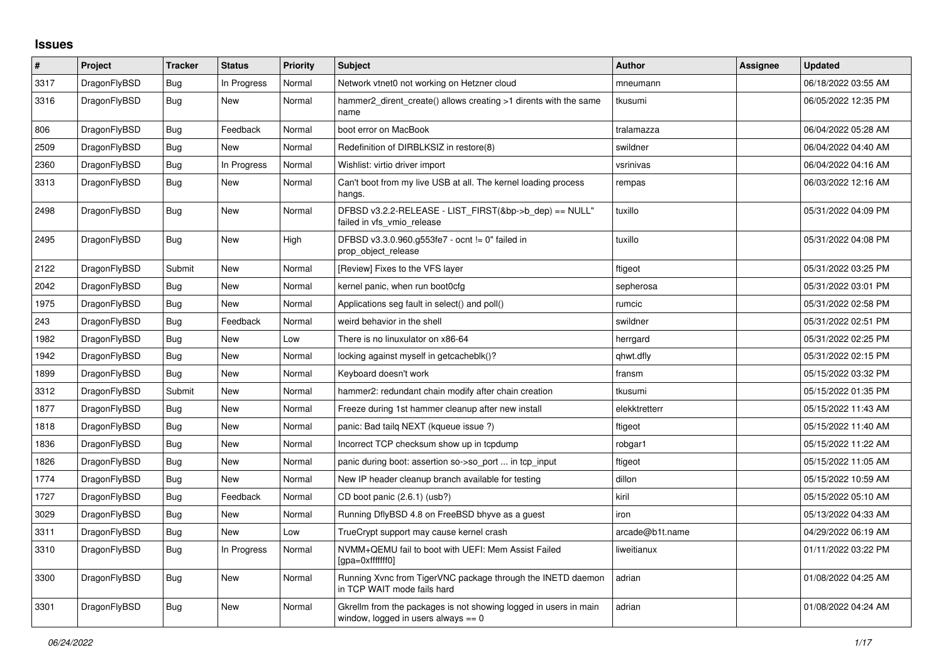## **Issues**

| #    | Project      | <b>Tracker</b> | <b>Status</b> | <b>Priority</b> | <b>Subject</b>                                                                                            | <b>Author</b>   | Assignee | <b>Updated</b>      |
|------|--------------|----------------|---------------|-----------------|-----------------------------------------------------------------------------------------------------------|-----------------|----------|---------------------|
| 3317 | DragonFlyBSD | Bug            | In Progress   | Normal          | Network vtnet0 not working on Hetzner cloud                                                               | mneumann        |          | 06/18/2022 03:55 AM |
| 3316 | DragonFlyBSD | <b>Bug</b>     | <b>New</b>    | Normal          | hammer2 dirent create() allows creating >1 dirents with the same<br>name                                  | tkusumi         |          | 06/05/2022 12:35 PM |
| 806  | DragonFlyBSD | <b>Bug</b>     | Feedback      | Normal          | boot error on MacBook                                                                                     | tralamazza      |          | 06/04/2022 05:28 AM |
| 2509 | DragonFlyBSD | Bug            | <b>New</b>    | Normal          | Redefinition of DIRBLKSIZ in restore(8)                                                                   | swildner        |          | 06/04/2022 04:40 AM |
| 2360 | DragonFlyBSD | Bug            | In Progress   | Normal          | Wishlist: virtio driver import                                                                            | vsrinivas       |          | 06/04/2022 04:16 AM |
| 3313 | DragonFlyBSD | <b>Bug</b>     | New           | Normal          | Can't boot from my live USB at all. The kernel loading process<br>hangs.                                  | rempas          |          | 06/03/2022 12:16 AM |
| 2498 | DragonFlyBSD | <b>Bug</b>     | New           | Normal          | DFBSD v3.2.2-RELEASE - LIST_FIRST(&bp->b_dep) == NULL"<br>failed in vfs_vmio_release                      | tuxillo         |          | 05/31/2022 04:09 PM |
| 2495 | DragonFlyBSD | <b>Bug</b>     | New           | High            | DFBSD v3.3.0.960.g553fe7 - ocnt != 0" failed in<br>prop_object_release                                    | tuxillo         |          | 05/31/2022 04:08 PM |
| 2122 | DragonFlyBSD | Submit         | New           | Normal          | [Review] Fixes to the VFS layer                                                                           | ftigeot         |          | 05/31/2022 03:25 PM |
| 2042 | DragonFlyBSD | <b>Bug</b>     | New           | Normal          | kernel panic, when run boot0cfg                                                                           | sepherosa       |          | 05/31/2022 03:01 PM |
| 1975 | DragonFlyBSD | Bug            | <b>New</b>    | Normal          | Applications seg fault in select() and poll()                                                             | rumcic          |          | 05/31/2022 02:58 PM |
| 243  | DragonFlyBSD | <b>Bug</b>     | Feedback      | Normal          | weird behavior in the shell                                                                               | swildner        |          | 05/31/2022 02:51 PM |
| 1982 | DragonFlyBSD | Bug            | New           | Low             | There is no linuxulator on x86-64                                                                         | herrgard        |          | 05/31/2022 02:25 PM |
| 1942 | DragonFlyBSD | Bug            | New           | Normal          | locking against myself in getcacheblk()?                                                                  | qhwt.dfly       |          | 05/31/2022 02:15 PM |
| 1899 | DragonFlyBSD | Bug            | New           | Normal          | Keyboard doesn't work                                                                                     | fransm          |          | 05/15/2022 03:32 PM |
| 3312 | DragonFlyBSD | Submit         | New           | Normal          | hammer2: redundant chain modify after chain creation                                                      | tkusumi         |          | 05/15/2022 01:35 PM |
| 1877 | DragonFlyBSD | Bug            | New           | Normal          | Freeze during 1st hammer cleanup after new install                                                        | elekktretterr   |          | 05/15/2022 11:43 AM |
| 1818 | DragonFlyBSD | Bug            | New           | Normal          | panic: Bad tailg NEXT (kqueue issue ?)                                                                    | ftigeot         |          | 05/15/2022 11:40 AM |
| 1836 | DragonFlyBSD | Bug            | New           | Normal          | Incorrect TCP checksum show up in tcpdump                                                                 | robgar1         |          | 05/15/2022 11:22 AM |
| 1826 | DragonFlyBSD | Bug            | New           | Normal          | panic during boot: assertion so->so_port  in tcp_input                                                    | ftigeot         |          | 05/15/2022 11:05 AM |
| 1774 | DragonFlyBSD | Bug            | New           | Normal          | New IP header cleanup branch available for testing                                                        | dillon          |          | 05/15/2022 10:59 AM |
| 1727 | DragonFlyBSD | <b>Bug</b>     | Feedback      | Normal          | CD boot panic (2.6.1) (usb?)                                                                              | kiril           |          | 05/15/2022 05:10 AM |
| 3029 | DragonFlyBSD | Bug            | New           | Normal          | Running DflyBSD 4.8 on FreeBSD bhyve as a guest                                                           | iron            |          | 05/13/2022 04:33 AM |
| 3311 | DragonFlyBSD | <b>Bug</b>     | New           | Low             | TrueCrypt support may cause kernel crash                                                                  | arcade@b1t.name |          | 04/29/2022 06:19 AM |
| 3310 | DragonFlyBSD | Bug            | In Progress   | Normal          | NVMM+QEMU fail to boot with UEFI: Mem Assist Failed<br>[gpa=0xfffffff0]                                   | liweitianux     |          | 01/11/2022 03:22 PM |
| 3300 | DragonFlyBSD | <b>Bug</b>     | New           | Normal          | Running Xvnc from TigerVNC package through the INETD daemon<br>in TCP WAIT mode fails hard                | adrian          |          | 01/08/2022 04:25 AM |
| 3301 | DragonFlyBSD | <b>Bug</b>     | New           | Normal          | Gkrellm from the packages is not showing logged in users in main<br>window, logged in users always $== 0$ | adrian          |          | 01/08/2022 04:24 AM |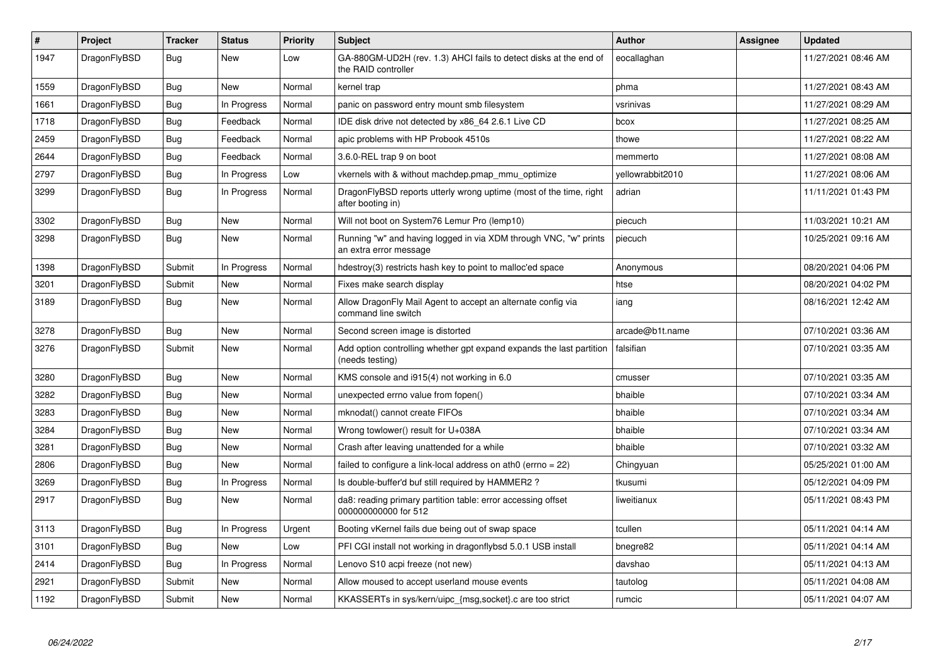| $\vert$ # | Project      | Tracker    | <b>Status</b> | <b>Priority</b> | <b>Subject</b>                                                                             | <b>Author</b>    | Assignee | Updated             |
|-----------|--------------|------------|---------------|-----------------|--------------------------------------------------------------------------------------------|------------------|----------|---------------------|
| 1947      | DragonFlyBSD | Bug        | New           | Low             | GA-880GM-UD2H (rev. 1.3) AHCI fails to detect disks at the end of<br>the RAID controller   | eocallaghan      |          | 11/27/2021 08:46 AM |
| 1559      | DragonFlyBSD | Bug        | New           | Normal          | kernel trap                                                                                | phma             |          | 11/27/2021 08:43 AM |
| 1661      | DragonFlyBSD | <b>Bug</b> | In Progress   | Normal          | panic on password entry mount smb filesystem                                               | vsrinivas        |          | 11/27/2021 08:29 AM |
| 1718      | DragonFlyBSD | Bug        | Feedback      | Normal          | IDE disk drive not detected by x86 64 2.6.1 Live CD                                        | bcox             |          | 11/27/2021 08:25 AM |
| 2459      | DragonFlyBSD | <b>Bug</b> | Feedback      | Normal          | apic problems with HP Probook 4510s                                                        | thowe            |          | 11/27/2021 08:22 AM |
| 2644      | DragonFlyBSD | Bug        | Feedback      | Normal          | 3.6.0-REL trap 9 on boot                                                                   | memmerto         |          | 11/27/2021 08:08 AM |
| 2797      | DragonFlyBSD | <b>Bug</b> | In Progress   | Low             | vkernels with & without machdep.pmap mmu optimize                                          | yellowrabbit2010 |          | 11/27/2021 08:06 AM |
| 3299      | DragonFlyBSD | Bug        | In Progress   | Normal          | DragonFlyBSD reports utterly wrong uptime (most of the time, right<br>after booting in)    | adrian           |          | 11/11/2021 01:43 PM |
| 3302      | DragonFlyBSD | Bug        | New           | Normal          | Will not boot on System76 Lemur Pro (lemp10)                                               | piecuch          |          | 11/03/2021 10:21 AM |
| 3298      | DragonFlyBSD | <b>Bug</b> | <b>New</b>    | Normal          | Running "w" and having logged in via XDM through VNC, "w" prints<br>an extra error message | piecuch          |          | 10/25/2021 09:16 AM |
| 1398      | DragonFlyBSD | Submit     | In Progress   | Normal          | hdestroy(3) restricts hash key to point to malloc'ed space                                 | Anonymous        |          | 08/20/2021 04:06 PM |
| 3201      | DragonFlyBSD | Submit     | New           | Normal          | Fixes make search display                                                                  | htse             |          | 08/20/2021 04:02 PM |
| 3189      | DragonFlyBSD | Bug        | New           | Normal          | Allow DragonFly Mail Agent to accept an alternate config via<br>command line switch        | iang             |          | 08/16/2021 12:42 AM |
| 3278      | DragonFlyBSD | Bug        | <b>New</b>    | Normal          | Second screen image is distorted                                                           | arcade@b1t.name  |          | 07/10/2021 03:36 AM |
| 3276      | DragonFlyBSD | Submit     | <b>New</b>    | Normal          | Add option controlling whether gpt expand expands the last partition<br>(needs testing)    | falsifian        |          | 07/10/2021 03:35 AM |
| 3280      | DragonFlyBSD | Bug        | <b>New</b>    | Normal          | KMS console and i915(4) not working in 6.0                                                 | cmusser          |          | 07/10/2021 03:35 AM |
| 3282      | DragonFlyBSD | Bug        | <b>New</b>    | Normal          | unexpected errno value from fopen()                                                        | bhaible          |          | 07/10/2021 03:34 AM |
| 3283      | DragonFlyBSD | <b>Bug</b> | <b>New</b>    | Normal          | mknodat() cannot create FIFOs                                                              | bhaible          |          | 07/10/2021 03:34 AM |
| 3284      | DragonFlyBSD | Bug        | <b>New</b>    | Normal          | Wrong towlower() result for U+038A                                                         | bhaible          |          | 07/10/2021 03:34 AM |
| 3281      | DragonFlyBSD | <b>Bug</b> | <b>New</b>    | Normal          | Crash after leaving unattended for a while                                                 | bhaible          |          | 07/10/2021 03:32 AM |
| 2806      | DragonFlyBSD | Bug        | New           | Normal          | failed to configure a link-local address on ath0 (errno = 22)                              | Chingyuan        |          | 05/25/2021 01:00 AM |
| 3269      | DragonFlyBSD | Bug        | In Progress   | Normal          | Is double-buffer'd buf still required by HAMMER2?                                          | tkusumi          |          | 05/12/2021 04:09 PM |
| 2917      | DragonFlyBSD | <b>Bug</b> | New           | Normal          | da8: reading primary partition table: error accessing offset<br>000000000000 for 512       | liweitianux      |          | 05/11/2021 08:43 PM |
| 3113      | DragonFlyBSD | Bug        | In Progress   | Urgent          | Booting vKernel fails due being out of swap space                                          | tcullen          |          | 05/11/2021 04:14 AM |
| 3101      | DragonFlyBSD | Bug        | New           | Low             | PFI CGI install not working in dragonflybsd 5.0.1 USB install                              | bnegre82         |          | 05/11/2021 04:14 AM |
| 2414      | DragonFlyBSD | <b>Bug</b> | In Progress   | Normal          | Lenovo S10 acpi freeze (not new)                                                           | davshao          |          | 05/11/2021 04:13 AM |
| 2921      | DragonFlyBSD | Submit     | New           | Normal          | Allow moused to accept userland mouse events                                               | tautolog         |          | 05/11/2021 04:08 AM |
| 1192      | DragonFlyBSD | Submit     | <b>New</b>    | Normal          | KKASSERTs in sys/kern/uipc_{msg,socket}.c are too strict                                   | rumcic           |          | 05/11/2021 04:07 AM |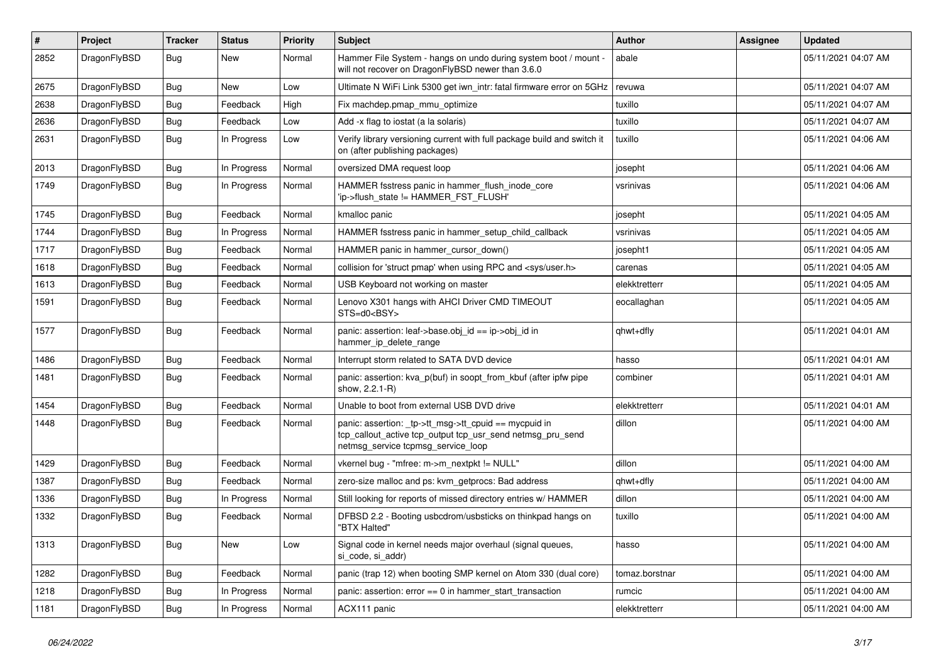| $\sharp$ | Project      | <b>Tracker</b> | <b>Status</b> | <b>Priority</b> | Subject                                                                                                                                                   | Author         | Assignee | <b>Updated</b>      |
|----------|--------------|----------------|---------------|-----------------|-----------------------------------------------------------------------------------------------------------------------------------------------------------|----------------|----------|---------------------|
| 2852     | DragonFlyBSD | Bug            | New           | Normal          | Hammer File System - hangs on undo during system boot / mount -<br>will not recover on DragonFlyBSD newer than 3.6.0                                      | abale          |          | 05/11/2021 04:07 AM |
| 2675     | DragonFlyBSD | Bug            | <b>New</b>    | Low             | Ultimate N WiFi Link 5300 get iwn_intr: fatal firmware error on 5GHz                                                                                      | revuwa         |          | 05/11/2021 04:07 AM |
| 2638     | DragonFlyBSD | Bug            | Feedback      | High            | Fix machdep.pmap_mmu_optimize                                                                                                                             | tuxillo        |          | 05/11/2021 04:07 AM |
| 2636     | DragonFlyBSD | Bug            | Feedback      | Low             | Add -x flag to iostat (a la solaris)                                                                                                                      | tuxillo        |          | 05/11/2021 04:07 AM |
| 2631     | DragonFlyBSD | Bug            | In Progress   | Low             | Verify library versioning current with full package build and switch it<br>on (after publishing packages)                                                 | tuxillo        |          | 05/11/2021 04:06 AM |
| 2013     | DragonFlyBSD | Bug            | In Progress   | Normal          | oversized DMA request loop                                                                                                                                | josepht        |          | 05/11/2021 04:06 AM |
| 1749     | DragonFlyBSD | Bug            | In Progress   | Normal          | HAMMER fsstress panic in hammer_flush_inode_core<br>'ip->flush_state != HAMMER_FST_FLUSH'                                                                 | vsrinivas      |          | 05/11/2021 04:06 AM |
| 1745     | DragonFlyBSD | Bug            | Feedback      | Normal          | kmalloc panic                                                                                                                                             | josepht        |          | 05/11/2021 04:05 AM |
| 1744     | DragonFlyBSD | Bug            | In Progress   | Normal          | HAMMER fsstress panic in hammer_setup_child_callback                                                                                                      | vsrinivas      |          | 05/11/2021 04:05 AM |
| 1717     | DragonFlyBSD | Bug            | Feedback      | Normal          | HAMMER panic in hammer_cursor_down()                                                                                                                      | josepht1       |          | 05/11/2021 04:05 AM |
| 1618     | DragonFlyBSD | Bug            | Feedback      | Normal          | collision for 'struct pmap' when using RPC and <sys user.h=""></sys>                                                                                      | carenas        |          | 05/11/2021 04:05 AM |
| 1613     | DragonFlyBSD | Bug            | Feedback      | Normal          | USB Keyboard not working on master                                                                                                                        | elekktretterr  |          | 05/11/2021 04:05 AM |
| 1591     | DragonFlyBSD | Bug            | Feedback      | Normal          | Lenovo X301 hangs with AHCI Driver CMD TIMEOUT<br>STS=d0 <bsy></bsy>                                                                                      | eocallaghan    |          | 05/11/2021 04:05 AM |
| 1577     | DragonFlyBSD | Bug            | Feedback      | Normal          | panic: assertion: leaf->base.obj_id == ip->obj_id in<br>hammer_ip_delete_range                                                                            | qhwt+dfly      |          | 05/11/2021 04:01 AM |
| 1486     | DragonFlyBSD | Bug            | Feedback      | Normal          | Interrupt storm related to SATA DVD device                                                                                                                | hasso          |          | 05/11/2021 04:01 AM |
| 1481     | DragonFlyBSD | Bug            | Feedback      | Normal          | panic: assertion: kva_p(buf) in soopt_from_kbuf (after ipfw pipe<br>show, 2.2.1-R)                                                                        | combiner       |          | 05/11/2021 04:01 AM |
| 1454     | DragonFlyBSD | Bug            | Feedback      | Normal          | Unable to boot from external USB DVD drive                                                                                                                | elekktretterr  |          | 05/11/2021 04:01 AM |
| 1448     | DragonFlyBSD | Bug            | Feedback      | Normal          | panic: assertion: _tp->tt_msg->tt_cpuid == mycpuid in<br>tcp_callout_active tcp_output tcp_usr_send netmsg_pru_send<br>netmsg_service tcpmsg_service_loop | dillon         |          | 05/11/2021 04:00 AM |
| 1429     | DragonFlyBSD | Bug            | Feedback      | Normal          | vkernel bug - "mfree: m->m_nextpkt != NULL"                                                                                                               | dillon         |          | 05/11/2021 04:00 AM |
| 1387     | DragonFlyBSD | <b>Bug</b>     | Feedback      | Normal          | zero-size malloc and ps: kvm_getprocs: Bad address                                                                                                        | qhwt+dfly      |          | 05/11/2021 04:00 AM |
| 1336     | DragonFlyBSD | Bug            | In Progress   | Normal          | Still looking for reports of missed directory entries w/ HAMMER                                                                                           | dillon         |          | 05/11/2021 04:00 AM |
| 1332     | DragonFlyBSD | <b>Bug</b>     | Feedback      | Normal          | DFBSD 2.2 - Booting usbcdrom/usbsticks on thinkpad hangs on<br>"BTX Halted"                                                                               | tuxillo        |          | 05/11/2021 04:00 AM |
| 1313     | DragonFlyBSD | Bug            | New           | Low             | Signal code in kernel needs major overhaul (signal queues,<br>si code, si addr)                                                                           | hasso          |          | 05/11/2021 04:00 AM |
| 1282     | DragonFlyBSD | <b>Bug</b>     | Feedback      | Normal          | panic (trap 12) when booting SMP kernel on Atom 330 (dual core)                                                                                           | tomaz.borstnar |          | 05/11/2021 04:00 AM |
| 1218     | DragonFlyBSD | <b>Bug</b>     | In Progress   | Normal          | panic: assertion: $error == 0$ in hammer start transaction                                                                                                | rumcic         |          | 05/11/2021 04:00 AM |
| 1181     | DragonFlyBSD | <b>Bug</b>     | In Progress   | Normal          | ACX111 panic                                                                                                                                              | elekktretterr  |          | 05/11/2021 04:00 AM |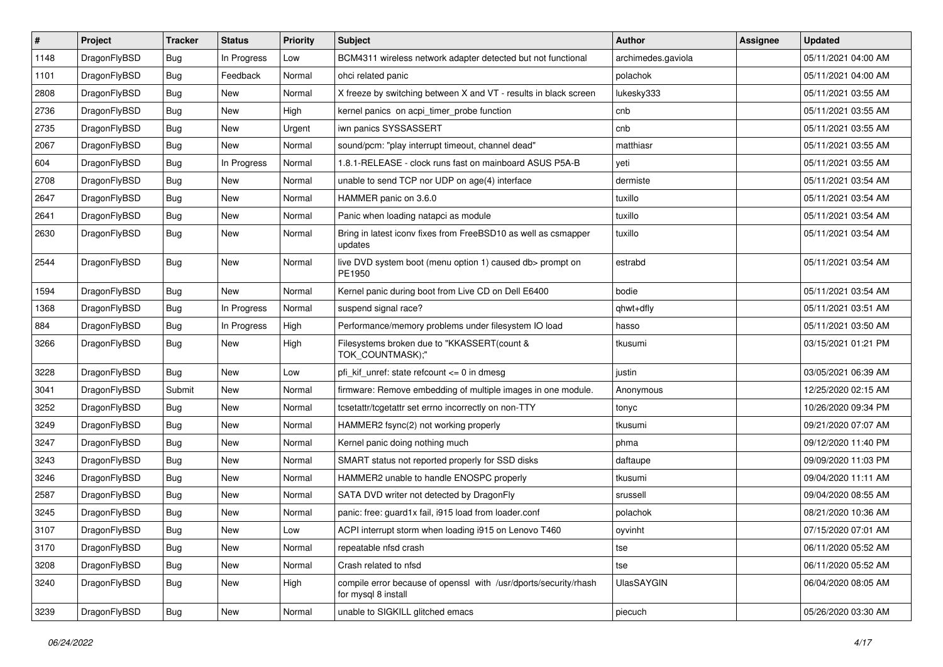| $\pmb{\#}$ | Project      | <b>Tracker</b> | <b>Status</b> | <b>Priority</b> | Subject                                                                                 | <b>Author</b>      | Assignee | <b>Updated</b>      |
|------------|--------------|----------------|---------------|-----------------|-----------------------------------------------------------------------------------------|--------------------|----------|---------------------|
| 1148       | DragonFlyBSD | Bug            | In Progress   | Low             | BCM4311 wireless network adapter detected but not functional                            | archimedes.gaviola |          | 05/11/2021 04:00 AM |
| 1101       | DragonFlyBSD | Bug            | Feedback      | Normal          | ohci related panic                                                                      | polachok           |          | 05/11/2021 04:00 AM |
| 2808       | DragonFlyBSD | Bug            | New           | Normal          | X freeze by switching between X and VT - results in black screen                        | lukesky333         |          | 05/11/2021 03:55 AM |
| 2736       | DragonFlyBSD | Bug            | New           | High            | kernel panics on acpi_timer_probe function                                              | cnb                |          | 05/11/2021 03:55 AM |
| 2735       | DragonFlyBSD | Bug            | <b>New</b>    | Urgent          | iwn panics SYSSASSERT                                                                   | cnb                |          | 05/11/2021 03:55 AM |
| 2067       | DragonFlyBSD | Bug            | New           | Normal          | sound/pcm: "play interrupt timeout, channel dead"                                       | matthiasr          |          | 05/11/2021 03:55 AM |
| 604        | DragonFlyBSD | <b>Bug</b>     | In Progress   | Normal          | 1.8.1-RELEASE - clock runs fast on mainboard ASUS P5A-B                                 | yeti               |          | 05/11/2021 03:55 AM |
| 2708       | DragonFlyBSD | Bug            | New           | Normal          | unable to send TCP nor UDP on age(4) interface                                          | dermiste           |          | 05/11/2021 03:54 AM |
| 2647       | DragonFlyBSD | Bug            | <b>New</b>    | Normal          | HAMMER panic on 3.6.0                                                                   | tuxillo            |          | 05/11/2021 03:54 AM |
| 2641       | DragonFlyBSD | Bug            | <b>New</b>    | Normal          | Panic when loading natapci as module                                                    | tuxillo            |          | 05/11/2021 03:54 AM |
| 2630       | DragonFlyBSD | Bug            | New           | Normal          | Bring in latest iconv fixes from FreeBSD10 as well as csmapper<br>updates               | tuxillo            |          | 05/11/2021 03:54 AM |
| 2544       | DragonFlyBSD | Bug            | New           | Normal          | live DVD system boot (menu option 1) caused db> prompt on<br>PE1950                     | estrabd            |          | 05/11/2021 03:54 AM |
| 1594       | DragonFlyBSD | Bug            | <b>New</b>    | Normal          | Kernel panic during boot from Live CD on Dell E6400                                     | bodie              |          | 05/11/2021 03:54 AM |
| 1368       | DragonFlyBSD | Bug            | In Progress   | Normal          | suspend signal race?                                                                    | qhwt+dfly          |          | 05/11/2021 03:51 AM |
| 884        | DragonFlyBSD | Bug            | In Progress   | High            | Performance/memory problems under filesystem IO load                                    | hasso              |          | 05/11/2021 03:50 AM |
| 3266       | DragonFlyBSD | Bug            | <b>New</b>    | High            | Filesystems broken due to "KKASSERT(count &<br>TOK COUNTMASK);"                         | tkusumi            |          | 03/15/2021 01:21 PM |
| 3228       | DragonFlyBSD | Bug            | <b>New</b>    | Low             | pfi kif unref: state refcount $\leq$ 0 in dmesg                                         | justin             |          | 03/05/2021 06:39 AM |
| 3041       | DragonFlyBSD | Submit         | New           | Normal          | firmware: Remove embedding of multiple images in one module.                            | Anonymous          |          | 12/25/2020 02:15 AM |
| 3252       | DragonFlyBSD | Bug            | New           | Normal          | tcsetattr/tcgetattr set errno incorrectly on non-TTY                                    | tonyc              |          | 10/26/2020 09:34 PM |
| 3249       | DragonFlyBSD | Bug            | <b>New</b>    | Normal          | HAMMER2 fsync(2) not working properly                                                   | tkusumi            |          | 09/21/2020 07:07 AM |
| 3247       | DragonFlyBSD | Bug            | <b>New</b>    | Normal          | Kernel panic doing nothing much                                                         | phma               |          | 09/12/2020 11:40 PM |
| 3243       | DragonFlyBSD | Bug            | <b>New</b>    | Normal          | SMART status not reported properly for SSD disks                                        | daftaupe           |          | 09/09/2020 11:03 PM |
| 3246       | DragonFlyBSD | Bug            | <b>New</b>    | Normal          | HAMMER2 unable to handle ENOSPC properly                                                | tkusumi            |          | 09/04/2020 11:11 AM |
| 2587       | DragonFlyBSD | Bug            | New           | Normal          | SATA DVD writer not detected by DragonFly                                               | srussell           |          | 09/04/2020 08:55 AM |
| 3245       | DragonFlyBSD | Bug            | New           | Normal          | panic: free: guard1x fail, i915 load from loader.conf                                   | polachok           |          | 08/21/2020 10:36 AM |
| 3107       | DragonFlyBSD | Bug            | <b>New</b>    | Low             | ACPI interrupt storm when loading i915 on Lenovo T460                                   | oyvinht            |          | 07/15/2020 07:01 AM |
| 3170       | DragonFlyBSD | <b>Bug</b>     | New           | Normal          | repeatable nfsd crash                                                                   | tse                |          | 06/11/2020 05:52 AM |
| 3208       | DragonFlyBSD | Bug            | New           | Normal          | Crash related to nfsd                                                                   | tse                |          | 06/11/2020 05:52 AM |
| 3240       | DragonFlyBSD | Bug            | New           | High            | compile error because of openssl with /usr/dports/security/rhash<br>for mysql 8 install | <b>UlasSAYGIN</b>  |          | 06/04/2020 08:05 AM |
| 3239       | DragonFlyBSD | Bug            | New           | Normal          | unable to SIGKILL glitched emacs                                                        | piecuch            |          | 05/26/2020 03:30 AM |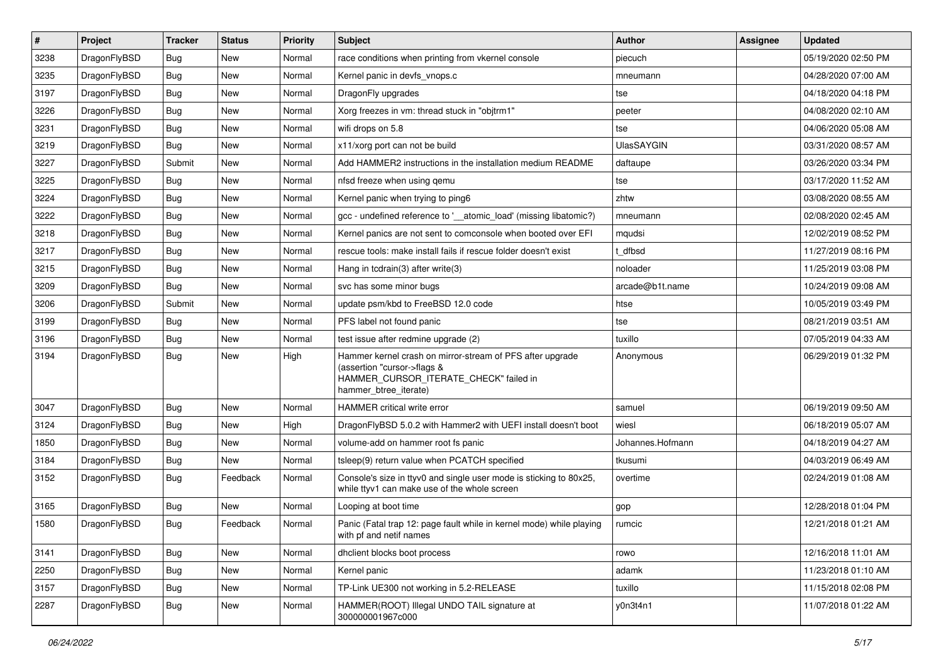| #    | Project      | <b>Tracker</b> | <b>Status</b> | Priority | Subject                                                                                                                                                     | <b>Author</b>     | Assignee | <b>Updated</b>      |
|------|--------------|----------------|---------------|----------|-------------------------------------------------------------------------------------------------------------------------------------------------------------|-------------------|----------|---------------------|
| 3238 | DragonFlyBSD | Bug            | <b>New</b>    | Normal   | race conditions when printing from vkernel console                                                                                                          | piecuch           |          | 05/19/2020 02:50 PM |
| 3235 | DragonFlyBSD | Bug            | <b>New</b>    | Normal   | Kernel panic in devfs vnops.c                                                                                                                               | mneumann          |          | 04/28/2020 07:00 AM |
| 3197 | DragonFlyBSD | <b>Bug</b>     | New           | Normal   | DragonFly upgrades                                                                                                                                          | tse               |          | 04/18/2020 04:18 PM |
| 3226 | DragonFlyBSD | <b>Bug</b>     | New           | Normal   | Xorg freezes in vm: thread stuck in "objtrm1"                                                                                                               | peeter            |          | 04/08/2020 02:10 AM |
| 3231 | DragonFlyBSD | Bug            | <b>New</b>    | Normal   | wifi drops on 5.8                                                                                                                                           | tse               |          | 04/06/2020 05:08 AM |
| 3219 | DragonFlyBSD | <b>Bug</b>     | <b>New</b>    | Normal   | x11/xorg port can not be build                                                                                                                              | <b>UlasSAYGIN</b> |          | 03/31/2020 08:57 AM |
| 3227 | DragonFlyBSD | Submit         | New           | Normal   | Add HAMMER2 instructions in the installation medium README                                                                                                  | daftaupe          |          | 03/26/2020 03:34 PM |
| 3225 | DragonFlyBSD | Bug            | <b>New</b>    | Normal   | nfsd freeze when using gemu                                                                                                                                 | tse               |          | 03/17/2020 11:52 AM |
| 3224 | DragonFlyBSD | <b>Bug</b>     | New           | Normal   | Kernel panic when trying to ping6                                                                                                                           | zhtw              |          | 03/08/2020 08:55 AM |
| 3222 | DragonFlyBSD | Bug            | <b>New</b>    | Normal   | gcc - undefined reference to '__atomic_load' (missing libatomic?)                                                                                           | mneumann          |          | 02/08/2020 02:45 AM |
| 3218 | DragonFlyBSD | <b>Bug</b>     | <b>New</b>    | Normal   | Kernel panics are not sent to comconsole when booted over EFI                                                                                               | mqudsi            |          | 12/02/2019 08:52 PM |
| 3217 | DragonFlyBSD | Bug            | New           | Normal   | rescue tools: make install fails if rescue folder doesn't exist                                                                                             | : dfbsd           |          | 11/27/2019 08:16 PM |
| 3215 | DragonFlyBSD | <b>Bug</b>     | <b>New</b>    | Normal   | Hang in tcdrain(3) after write(3)                                                                                                                           | noloader          |          | 11/25/2019 03:08 PM |
| 3209 | DragonFlyBSD | Bug            | <b>New</b>    | Normal   | svc has some minor bugs                                                                                                                                     | arcade@b1t.name   |          | 10/24/2019 09:08 AM |
| 3206 | DragonFlyBSD | Submit         | <b>New</b>    | Normal   | update psm/kbd to FreeBSD 12.0 code                                                                                                                         | htse              |          | 10/05/2019 03:49 PM |
| 3199 | DragonFlyBSD | Bug            | <b>New</b>    | Normal   | PFS label not found panic                                                                                                                                   | tse               |          | 08/21/2019 03:51 AM |
| 3196 | DragonFlyBSD | <b>Bug</b>     | New           | Normal   | test issue after redmine upgrade (2)                                                                                                                        | tuxillo           |          | 07/05/2019 04:33 AM |
| 3194 | DragonFlyBSD | Bug            | <b>New</b>    | High     | Hammer kernel crash on mirror-stream of PFS after upgrade<br>(assertion "cursor->flags &<br>HAMMER_CURSOR_ITERATE_CHECK" failed in<br>hammer_btree_iterate) | Anonymous         |          | 06/29/2019 01:32 PM |
| 3047 | DragonFlyBSD | Bug            | <b>New</b>    | Normal   | HAMMER critical write error                                                                                                                                 | samuel            |          | 06/19/2019 09:50 AM |
| 3124 | DragonFlyBSD | <b>Bug</b>     | <b>New</b>    | High     | DragonFlyBSD 5.0.2 with Hammer2 with UEFI install doesn't boot                                                                                              | wiesl             |          | 06/18/2019 05:07 AM |
| 1850 | DragonFlyBSD | <b>Bug</b>     | <b>New</b>    | Normal   | volume-add on hammer root fs panic                                                                                                                          | Johannes.Hofmann  |          | 04/18/2019 04:27 AM |
| 3184 | DragonFlyBSD | Bug            | New           | Normal   | tsleep(9) return value when PCATCH specified                                                                                                                | tkusumi           |          | 04/03/2019 06:49 AM |
| 3152 | DragonFlyBSD | Bug            | Feedback      | Normal   | Console's size in ttyv0 and single user mode is sticking to 80x25,<br>while ttyv1 can make use of the whole screen                                          | overtime          |          | 02/24/2019 01:08 AM |
| 3165 | DragonFlyBSD | Bug            | New           | Normal   | Looping at boot time                                                                                                                                        | gop               |          | 12/28/2018 01:04 PM |
| 1580 | DragonFlyBSD | Bug            | Feedback      | Normal   | Panic (Fatal trap 12: page fault while in kernel mode) while playing<br>with pf and netif names                                                             | rumcic            |          | 12/21/2018 01:21 AM |
| 3141 | DragonFlyBSD | Bug            | <b>New</b>    | Normal   | dhclient blocks boot process                                                                                                                                | rowo              |          | 12/16/2018 11:01 AM |
| 2250 | DragonFlyBSD | <b>Bug</b>     | New           | Normal   | Kernel panic                                                                                                                                                | adamk             |          | 11/23/2018 01:10 AM |
| 3157 | DragonFlyBSD | <b>Bug</b>     | New           | Normal   | TP-Link UE300 not working in 5.2-RELEASE                                                                                                                    | tuxillo           |          | 11/15/2018 02:08 PM |
| 2287 | DragonFlyBSD | <b>Bug</b>     | New           | Normal   | HAMMER(ROOT) Illegal UNDO TAIL signature at<br>300000001967c000                                                                                             | y0n3t4n1          |          | 11/07/2018 01:22 AM |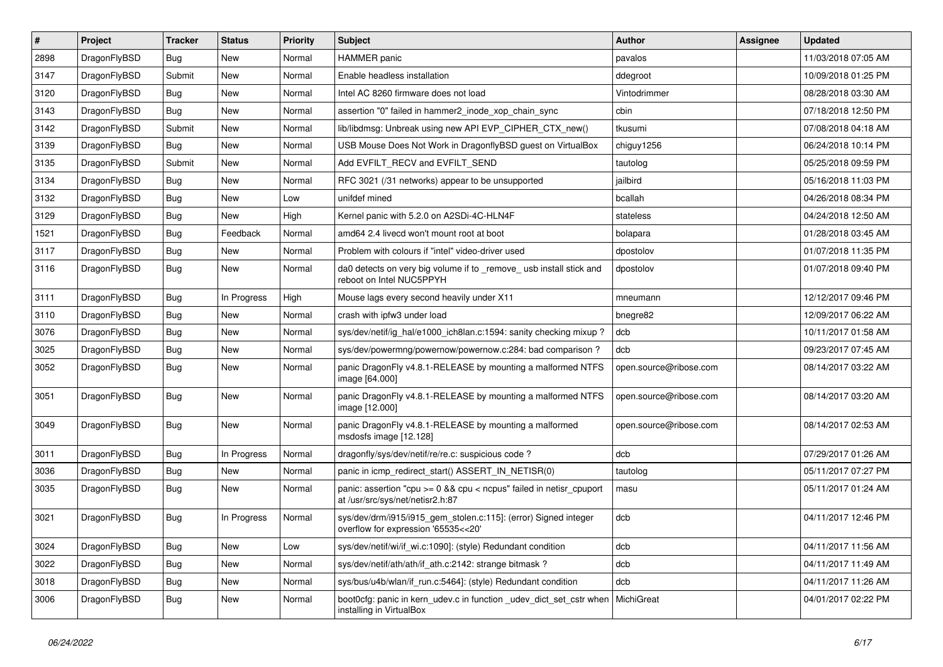| $\sharp$ | Project      | <b>Tracker</b> | <b>Status</b> | <b>Priority</b> | Subject                                                                                                   | <b>Author</b>          | Assignee | <b>Updated</b>      |
|----------|--------------|----------------|---------------|-----------------|-----------------------------------------------------------------------------------------------------------|------------------------|----------|---------------------|
| 2898     | DragonFlyBSD | <b>Bug</b>     | New           | Normal          | <b>HAMMER</b> panic                                                                                       | pavalos                |          | 11/03/2018 07:05 AM |
| 3147     | DragonFlyBSD | Submit         | <b>New</b>    | Normal          | Enable headless installation                                                                              | ddegroot               |          | 10/09/2018 01:25 PM |
| 3120     | DragonFlyBSD | Bug            | <b>New</b>    | Normal          | Intel AC 8260 firmware does not load                                                                      | Vintodrimmer           |          | 08/28/2018 03:30 AM |
| 3143     | DragonFlyBSD | Bug            | <b>New</b>    | Normal          | assertion "0" failed in hammer2 inode xop chain sync                                                      | cbin                   |          | 07/18/2018 12:50 PM |
| 3142     | DragonFlyBSD | Submit         | New           | Normal          | lib/libdmsg: Unbreak using new API EVP_CIPHER_CTX_new()                                                   | tkusumi                |          | 07/08/2018 04:18 AM |
| 3139     | DragonFlyBSD | Bug            | <b>New</b>    | Normal          | USB Mouse Does Not Work in DragonflyBSD guest on VirtualBox                                               | chiguy1256             |          | 06/24/2018 10:14 PM |
| 3135     | DragonFlyBSD | Submit         | New           | Normal          | Add EVFILT_RECV and EVFILT_SEND                                                                           | tautolog               |          | 05/25/2018 09:59 PM |
| 3134     | DragonFlyBSD | Bug            | <b>New</b>    | Normal          | RFC 3021 (/31 networks) appear to be unsupported                                                          | jailbird               |          | 05/16/2018 11:03 PM |
| 3132     | DragonFlyBSD | Bug            | <b>New</b>    | Low             | unifdef mined                                                                                             | bcallah                |          | 04/26/2018 08:34 PM |
| 3129     | DragonFlyBSD | Bug            | <b>New</b>    | High            | Kernel panic with 5.2.0 on A2SDi-4C-HLN4F                                                                 | stateless              |          | 04/24/2018 12:50 AM |
| 1521     | DragonFlyBSD | Bug            | Feedback      | Normal          | amd64 2.4 livecd won't mount root at boot                                                                 | bolapara               |          | 01/28/2018 03:45 AM |
| 3117     | DragonFlyBSD | Bug            | <b>New</b>    | Normal          | Problem with colours if "intel" video-driver used                                                         | dpostolov              |          | 01/07/2018 11:35 PM |
| 3116     | DragonFlyBSD | Bug            | New           | Normal          | da0 detects on very big volume if to _remove_ usb install stick and<br>reboot on Intel NUC5PPYH           | dpostolov              |          | 01/07/2018 09:40 PM |
| 3111     | DragonFlyBSD | Bug            | In Progress   | High            | Mouse lags every second heavily under X11                                                                 | mneumann               |          | 12/12/2017 09:46 PM |
| 3110     | DragonFlyBSD | Bug            | <b>New</b>    | Normal          | crash with ipfw3 under load                                                                               | bnegre82               |          | 12/09/2017 06:22 AM |
| 3076     | DragonFlyBSD | Bug            | <b>New</b>    | Normal          | sys/dev/netif/ig hal/e1000 ich8lan.c:1594: sanity checking mixup?                                         | dcb                    |          | 10/11/2017 01:58 AM |
| 3025     | DragonFlyBSD | Bug            | New           | Normal          | sys/dev/powermng/powernow/powernow.c:284: bad comparison?                                                 | dcb                    |          | 09/23/2017 07:45 AM |
| 3052     | DragonFlyBSD | Bug            | <b>New</b>    | Normal          | panic DragonFly v4.8.1-RELEASE by mounting a malformed NTFS<br>image [64.000]                             | open.source@ribose.com |          | 08/14/2017 03:22 AM |
| 3051     | DragonFlyBSD | Bug            | <b>New</b>    | Normal          | panic DragonFly v4.8.1-RELEASE by mounting a malformed NTFS<br>image [12.000]                             | open.source@ribose.com |          | 08/14/2017 03:20 AM |
| 3049     | DragonFlyBSD | Bug            | <b>New</b>    | Normal          | panic DragonFly v4.8.1-RELEASE by mounting a malformed<br>msdosfs image [12.128]                          | open.source@ribose.com |          | 08/14/2017 02:53 AM |
| 3011     | DragonFlyBSD | Bug            | In Progress   | Normal          | dragonfly/sys/dev/netif/re/re.c: suspicious code?                                                         | dcb                    |          | 07/29/2017 01:26 AM |
| 3036     | DragonFlyBSD | Bug            | <b>New</b>    | Normal          | panic in icmp redirect start() ASSERT IN NETISR(0)                                                        | tautolog               |          | 05/11/2017 07:27 PM |
| 3035     | DragonFlyBSD | Bug            | New           | Normal          | panic: assertion "cpu $>= 0$ && cpu < ncpus" failed in netisr cpuport<br>at /usr/src/sys/net/netisr2.h:87 | masu                   |          | 05/11/2017 01:24 AM |
| 3021     | DragonFlyBSD | <b>Bug</b>     | In Progress   | Normal          | sys/dev/drm/i915/i915_gem_stolen.c:115]: (error) Signed integer<br>overflow for expression '65535<<20'    | dcb                    |          | 04/11/2017 12:46 PM |
| 3024     | DragonFlyBSD | <b>Bug</b>     | <b>New</b>    | Low             | sys/dev/netif/wi/if_wi.c:1090]: (style) Redundant condition                                               | dcb                    |          | 04/11/2017 11:56 AM |
| 3022     | DragonFlyBSD | Bug            | New           | Normal          | sys/dev/netif/ath/ath/if_ath.c:2142: strange bitmask?                                                     | dcb                    |          | 04/11/2017 11:49 AM |
| 3018     | DragonFlyBSD | <b>Bug</b>     | New           | Normal          | sys/bus/u4b/wlan/if_run.c:5464]: (style) Redundant condition                                              | dcb                    |          | 04/11/2017 11:26 AM |
| 3006     | DragonFlyBSD | <b>Bug</b>     | New           | Normal          | boot0cfg: panic in kern udev.c in function udev dict set cstr when<br>installing in VirtualBox            | MichiGreat             |          | 04/01/2017 02:22 PM |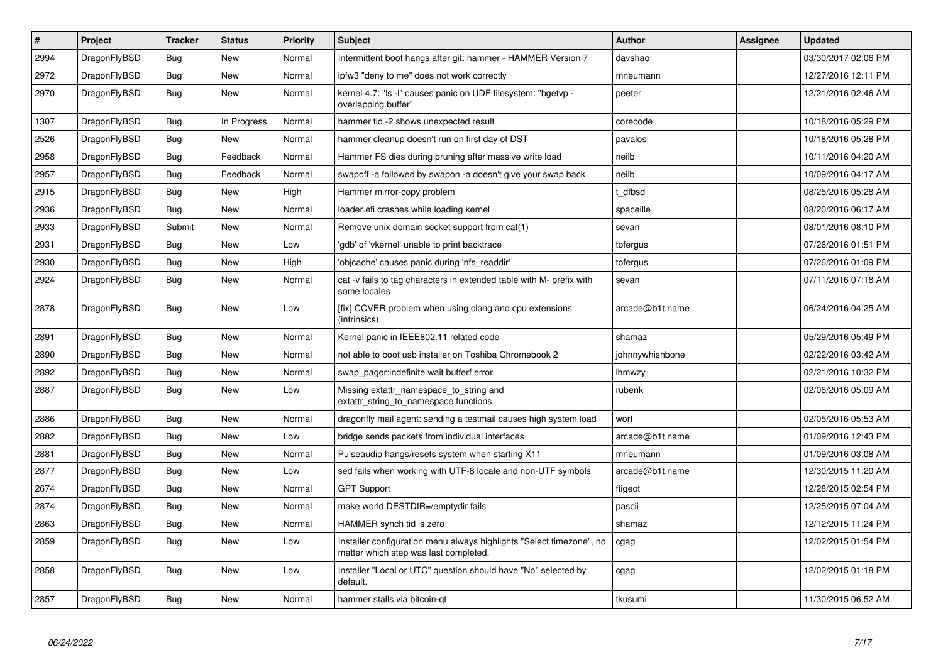| $\pmb{\#}$ | Project      | <b>Tracker</b> | <b>Status</b> | <b>Priority</b> | <b>Subject</b>                                                                                                | <b>Author</b>   | Assignee | <b>Updated</b>      |
|------------|--------------|----------------|---------------|-----------------|---------------------------------------------------------------------------------------------------------------|-----------------|----------|---------------------|
| 2994       | DragonFlyBSD | <b>Bug</b>     | <b>New</b>    | Normal          | Intermittent boot hangs after git: hammer - HAMMER Version 7                                                  | davshao         |          | 03/30/2017 02:06 PM |
| 2972       | DragonFlyBSD | Bug            | <b>New</b>    | Normal          | ipfw3 "deny to me" does not work correctly                                                                    | mneumann        |          | 12/27/2016 12:11 PM |
| 2970       | DragonFlyBSD | Bug            | New           | Normal          | kernel 4.7: "Is -I" causes panic on UDF filesystem: "bgetyp -<br>overlapping buffer"                          | peeter          |          | 12/21/2016 02:46 AM |
| 1307       | DragonFlyBSD | Bug            | In Progress   | Normal          | hammer tid -2 shows unexpected result                                                                         | corecode        |          | 10/18/2016 05:29 PM |
| 2526       | DragonFlyBSD | <b>Bug</b>     | <b>New</b>    | Normal          | hammer cleanup doesn't run on first day of DST                                                                | pavalos         |          | 10/18/2016 05:28 PM |
| 2958       | DragonFlyBSD | Bug            | Feedback      | Normal          | Hammer FS dies during pruning after massive write load                                                        | neilb           |          | 10/11/2016 04:20 AM |
| 2957       | DragonFlyBSD | Bug            | Feedback      | Normal          | swapoff -a followed by swapon -a doesn't give your swap back                                                  | neilb           |          | 10/09/2016 04:17 AM |
| 2915       | DragonFlyBSD | Bug            | <b>New</b>    | High            | Hammer mirror-copy problem                                                                                    | t dfbsd         |          | 08/25/2016 05:28 AM |
| 2936       | DragonFlyBSD | Bug            | <b>New</b>    | Normal          | loader.efi crashes while loading kernel                                                                       | spaceille       |          | 08/20/2016 06:17 AM |
| 2933       | DragonFlyBSD | Submit         | <b>New</b>    | Normal          | Remove unix domain socket support from cat(1)                                                                 | sevan           |          | 08/01/2016 08:10 PM |
| 2931       | DragonFlyBSD | Bug            | <b>New</b>    | Low             | 'gdb' of 'vkernel' unable to print backtrace                                                                  | tofergus        |          | 07/26/2016 01:51 PM |
| 2930       | DragonFlyBSD | Bug            | New           | High            | 'objcache' causes panic during 'nfs_readdir'                                                                  | tofergus        |          | 07/26/2016 01:09 PM |
| 2924       | DragonFlyBSD | Bug            | New           | Normal          | cat -v fails to tag characters in extended table with M- prefix with<br>some locales                          | sevan           |          | 07/11/2016 07:18 AM |
| 2878       | DragonFlyBSD | Bug            | <b>New</b>    | Low             | [fix] CCVER problem when using clang and cpu extensions<br>(intrinsics)                                       | arcade@b1t.name |          | 06/24/2016 04:25 AM |
| 2891       | DragonFlyBSD | Bug            | <b>New</b>    | Normal          | Kernel panic in IEEE802.11 related code                                                                       | shamaz          |          | 05/29/2016 05:49 PM |
| 2890       | DragonFlyBSD | Bug            | New           | Normal          | not able to boot usb installer on Toshiba Chromebook 2                                                        | johnnywhishbone |          | 02/22/2016 03:42 AM |
| 2892       | DragonFlyBSD | Bug            | New           | Normal          | swap pager: indefinite wait bufferf error                                                                     | lhmwzy          |          | 02/21/2016 10:32 PM |
| 2887       | DragonFlyBSD | Bug            | <b>New</b>    | Low             | Missing extattr_namespace_to_string and<br>extattr_string_to_namespace functions                              | rubenk          |          | 02/06/2016 05:09 AM |
| 2886       | DragonFlyBSD | Bug            | <b>New</b>    | Normal          | dragonfly mail agent: sending a testmail causes high system load                                              | worf            |          | 02/05/2016 05:53 AM |
| 2882       | DragonFlyBSD | Bug            | <b>New</b>    | Low             | bridge sends packets from individual interfaces                                                               | arcade@b1t.name |          | 01/09/2016 12:43 PM |
| 2881       | DragonFlyBSD | Bug            | <b>New</b>    | Normal          | Pulseaudio hangs/resets system when starting X11                                                              | mneumann        |          | 01/09/2016 03:08 AM |
| 2877       | DragonFlyBSD | Bug            | New           | Low             | sed fails when working with UTF-8 locale and non-UTF symbols                                                  | arcade@b1t.name |          | 12/30/2015 11:20 AM |
| 2674       | DragonFlyBSD | Bug            | <b>New</b>    | Normal          | <b>GPT Support</b>                                                                                            | ftigeot         |          | 12/28/2015 02:54 PM |
| 2874       | DragonFlyBSD | <b>Bug</b>     | <b>New</b>    | Normal          | make world DESTDIR=/emptydir fails                                                                            | pascii          |          | 12/25/2015 07:04 AM |
| 2863       | DragonFlyBSD | Bug            | <b>New</b>    | Normal          | HAMMER synch tid is zero                                                                                      | shamaz          |          | 12/12/2015 11:24 PM |
| 2859       | DragonFlyBSD | <b>Bug</b>     | <b>New</b>    | Low             | Installer configuration menu always highlights "Select timezone", no<br>matter which step was last completed. | cgag            |          | 12/02/2015 01:54 PM |
| 2858       | DragonFlyBSD | Bug            | <b>New</b>    | Low             | Installer "Local or UTC" question should have "No" selected by<br>default.                                    | cgag            |          | 12/02/2015 01:18 PM |
| 2857       | DragonFlyBSD | Bug            | New           | Normal          | hammer stalls via bitcoin-qt                                                                                  | tkusumi         |          | 11/30/2015 06:52 AM |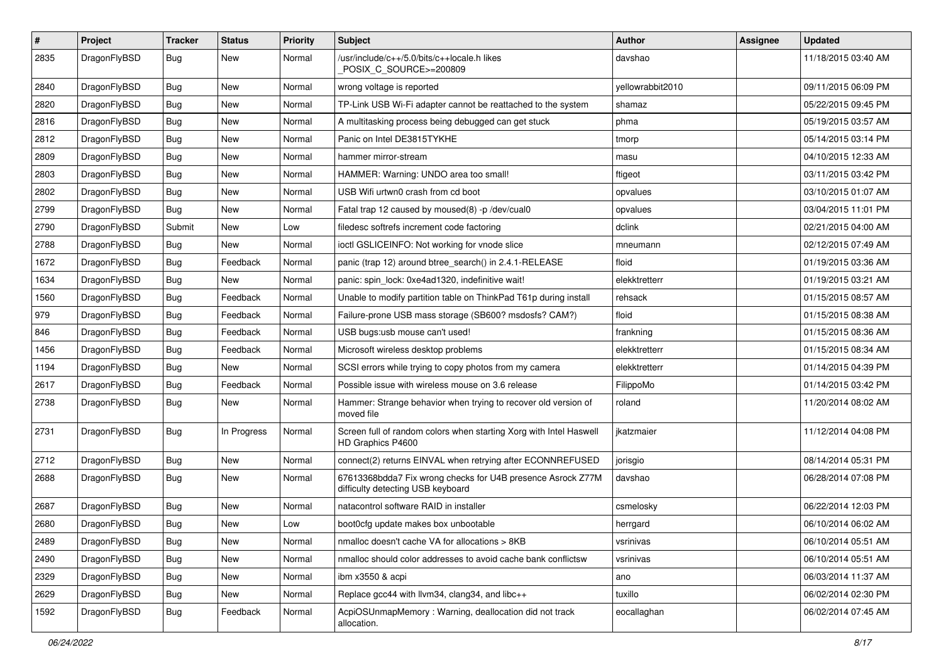| #    | Project      | <b>Tracker</b> | <b>Status</b> | <b>Priority</b> | Subject                                                                                          | <b>Author</b>    | Assignee | <b>Updated</b>      |
|------|--------------|----------------|---------------|-----------------|--------------------------------------------------------------------------------------------------|------------------|----------|---------------------|
| 2835 | DragonFlyBSD | Bug            | New           | Normal          | /usr/include/c++/5.0/bits/c++locale.h likes<br>POSIX C SOURCE>=200809                            | davshao          |          | 11/18/2015 03:40 AM |
| 2840 | DragonFlyBSD | Bug            | <b>New</b>    | Normal          | wrong voltage is reported                                                                        | yellowrabbit2010 |          | 09/11/2015 06:09 PM |
| 2820 | DragonFlyBSD | Bug            | <b>New</b>    | Normal          | TP-Link USB Wi-Fi adapter cannot be reattached to the system                                     | shamaz           |          | 05/22/2015 09:45 PM |
| 2816 | DragonFlyBSD | Bug            | <b>New</b>    | Normal          | A multitasking process being debugged can get stuck                                              | phma             |          | 05/19/2015 03:57 AM |
| 2812 | DragonFlyBSD | <b>Bug</b>     | <b>New</b>    | Normal          | Panic on Intel DE3815TYKHE                                                                       | tmorp            |          | 05/14/2015 03:14 PM |
| 2809 | DragonFlyBSD | Bug            | <b>New</b>    | Normal          | hammer mirror-stream                                                                             | masu             |          | 04/10/2015 12:33 AM |
| 2803 | DragonFlyBSD | <b>Bug</b>     | <b>New</b>    | Normal          | HAMMER: Warning: UNDO area too small!                                                            | ftigeot          |          | 03/11/2015 03:42 PM |
| 2802 | DragonFlyBSD | <b>Bug</b>     | <b>New</b>    | Normal          | USB Wifi urtwn0 crash from cd boot                                                               | opvalues         |          | 03/10/2015 01:07 AM |
| 2799 | DragonFlyBSD | Bug            | <b>New</b>    | Normal          | Fatal trap 12 caused by moused(8) -p /dev/cual0                                                  | opvalues         |          | 03/04/2015 11:01 PM |
| 2790 | DragonFlyBSD | Submit         | New           | Low             | filedesc softrefs increment code factoring                                                       | dclink           |          | 02/21/2015 04:00 AM |
| 2788 | DragonFlyBSD | Bug            | <b>New</b>    | Normal          | ioctl GSLICEINFO: Not working for vnode slice                                                    | mneumann         |          | 02/12/2015 07:49 AM |
| 1672 | DragonFlyBSD | <b>Bug</b>     | Feedback      | Normal          | panic (trap 12) around btree_search() in 2.4.1-RELEASE                                           | floid            |          | 01/19/2015 03:36 AM |
| 1634 | DragonFlyBSD | <b>Bug</b>     | <b>New</b>    | Normal          | panic: spin_lock: 0xe4ad1320, indefinitive wait!                                                 | elekktretterr    |          | 01/19/2015 03:21 AM |
| 1560 | DragonFlyBSD | Bug            | Feedback      | Normal          | Unable to modify partition table on ThinkPad T61p during install                                 | rehsack          |          | 01/15/2015 08:57 AM |
| 979  | DragonFlyBSD | <b>Bug</b>     | Feedback      | Normal          | Failure-prone USB mass storage (SB600? msdosfs? CAM?)                                            | floid            |          | 01/15/2015 08:38 AM |
| 846  | DragonFlyBSD | <b>Bug</b>     | Feedback      | Normal          | USB bugs:usb mouse can't used!                                                                   | frankning        |          | 01/15/2015 08:36 AM |
| 1456 | DragonFlyBSD | <b>Bug</b>     | Feedback      | Normal          | Microsoft wireless desktop problems                                                              | elekktretterr    |          | 01/15/2015 08:34 AM |
| 1194 | DragonFlyBSD | Bug            | New           | Normal          | SCSI errors while trying to copy photos from my camera                                           | elekktretterr    |          | 01/14/2015 04:39 PM |
| 2617 | DragonFlyBSD | Bug            | Feedback      | Normal          | Possible issue with wireless mouse on 3.6 release                                                | FilippoMo        |          | 01/14/2015 03:42 PM |
| 2738 | DragonFlyBSD | Bug            | New           | Normal          | Hammer: Strange behavior when trying to recover old version of<br>moved file                     | roland           |          | 11/20/2014 08:02 AM |
| 2731 | DragonFlyBSD | Bug            | In Progress   | Normal          | Screen full of random colors when starting Xorg with Intel Haswell<br>HD Graphics P4600          | jkatzmaier       |          | 11/12/2014 04:08 PM |
| 2712 | DragonFlyBSD | Bug            | <b>New</b>    | Normal          | connect(2) returns EINVAL when retrying after ECONNREFUSED                                       | jorisgio         |          | 08/14/2014 05:31 PM |
| 2688 | DragonFlyBSD | Bug            | <b>New</b>    | Normal          | 67613368bdda7 Fix wrong checks for U4B presence Asrock Z77M<br>difficulty detecting USB keyboard | davshao          |          | 06/28/2014 07:08 PM |
| 2687 | DragonFlyBSD | Bug            | <b>New</b>    | Normal          | natacontrol software RAID in installer                                                           | csmelosky        |          | 06/22/2014 12:03 PM |
| 2680 | DragonFlyBSD | <b>Bug</b>     | New           | Low             | boot0cfg update makes box unbootable                                                             | herrgard         |          | 06/10/2014 06:02 AM |
| 2489 | DragonFlyBSD | <b>Bug</b>     | New           | Normal          | nmalloc doesn't cache VA for allocations > 8KB                                                   | vsrinivas        |          | 06/10/2014 05:51 AM |
| 2490 | DragonFlyBSD | <b>Bug</b>     | <b>New</b>    | Normal          | nmalloc should color addresses to avoid cache bank conflictsw                                    | vsrinivas        |          | 06/10/2014 05:51 AM |
| 2329 | DragonFlyBSD | <b>Bug</b>     | New           | Normal          | ibm x3550 & acpi                                                                                 | ano              |          | 06/03/2014 11:37 AM |
| 2629 | DragonFlyBSD | <b>Bug</b>     | New           | Normal          | Replace gcc44 with llvm34, clang34, and libc++                                                   | tuxillo          |          | 06/02/2014 02:30 PM |
| 1592 | DragonFlyBSD | <b>Bug</b>     | Feedback      | Normal          | AcpiOSUnmapMemory: Warning, deallocation did not track<br>allocation.                            | eocallaghan      |          | 06/02/2014 07:45 AM |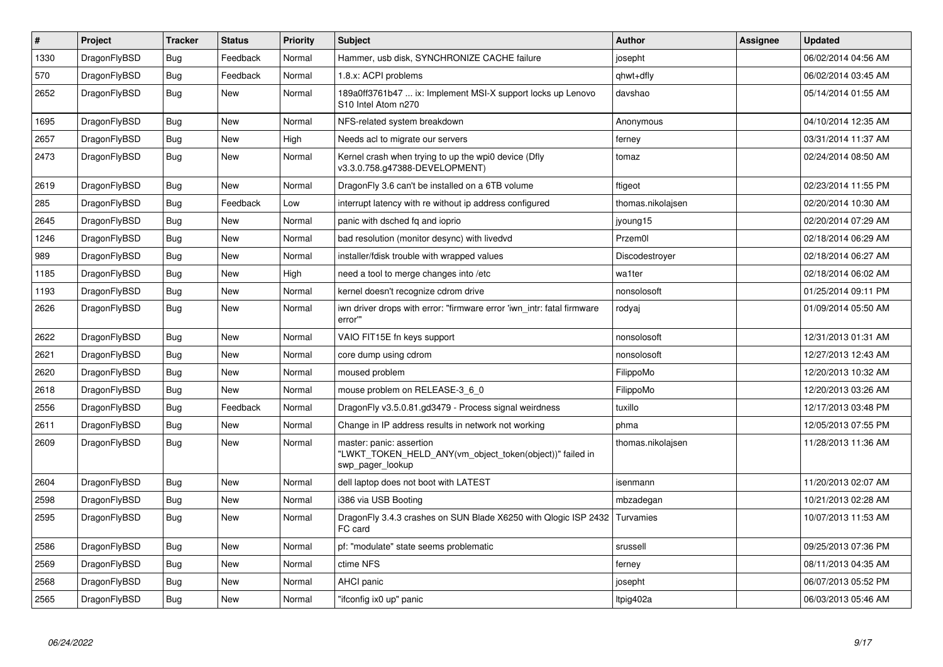| $\vert$ # | Project      | <b>Tracker</b> | <b>Status</b> | <b>Priority</b> | <b>Subject</b>                                                                                           | <b>Author</b>     | Assignee | <b>Updated</b>      |
|-----------|--------------|----------------|---------------|-----------------|----------------------------------------------------------------------------------------------------------|-------------------|----------|---------------------|
| 1330      | DragonFlyBSD | <b>Bug</b>     | Feedback      | Normal          | Hammer, usb disk, SYNCHRONIZE CACHE failure                                                              | josepht           |          | 06/02/2014 04:56 AM |
| 570       | DragonFlyBSD | Bug            | Feedback      | Normal          | 1.8.x: ACPI problems                                                                                     | qhwt+dfly         |          | 06/02/2014 03:45 AM |
| 2652      | DragonFlyBSD | <b>Bug</b>     | <b>New</b>    | Normal          | 189a0ff3761b47  ix: Implement MSI-X support locks up Lenovo<br>S10 Intel Atom n270                       | davshao           |          | 05/14/2014 01:55 AM |
| 1695      | DragonFlyBSD | <b>Bug</b>     | <b>New</b>    | Normal          | NFS-related system breakdown                                                                             | Anonymous         |          | 04/10/2014 12:35 AM |
| 2657      | DragonFlyBSD | Bug            | <b>New</b>    | High            | Needs acl to migrate our servers                                                                         | ferney            |          | 03/31/2014 11:37 AM |
| 2473      | DragonFlyBSD | <b>Bug</b>     | <b>New</b>    | Normal          | Kernel crash when trying to up the wpi0 device (Dfly<br>v3.3.0.758.g47388-DEVELOPMENT)                   | tomaz             |          | 02/24/2014 08:50 AM |
| 2619      | DragonFlyBSD | <b>Bug</b>     | <b>New</b>    | Normal          | DragonFly 3.6 can't be installed on a 6TB volume                                                         | ftigeot           |          | 02/23/2014 11:55 PM |
| 285       | DragonFlyBSD | Bug            | Feedback      | Low             | interrupt latency with re without ip address configured                                                  | thomas.nikolajsen |          | 02/20/2014 10:30 AM |
| 2645      | DragonFlyBSD | <b>Bug</b>     | <b>New</b>    | Normal          | panic with dsched fq and ioprio                                                                          | jyoung15          |          | 02/20/2014 07:29 AM |
| 1246      | DragonFlyBSD | Bug            | <b>New</b>    | Normal          | bad resolution (monitor desync) with livedvd                                                             | Przem0l           |          | 02/18/2014 06:29 AM |
| 989       | DragonFlyBSD | <b>Bug</b>     | <b>New</b>    | Normal          | installer/fdisk trouble with wrapped values                                                              | Discodestroyer    |          | 02/18/2014 06:27 AM |
| 1185      | DragonFlyBSD | Bug            | <b>New</b>    | High            | need a tool to merge changes into /etc                                                                   | wa1ter            |          | 02/18/2014 06:02 AM |
| 1193      | DragonFlyBSD | <b>Bug</b>     | New           | Normal          | kernel doesn't recognize cdrom drive                                                                     | nonsolosoft       |          | 01/25/2014 09:11 PM |
| 2626      | DragonFlyBSD | <b>Bug</b>     | <b>New</b>    | Normal          | iwn driver drops with error: "firmware error 'iwn intr: fatal firmware<br>error"                         | rodyaj            |          | 01/09/2014 05:50 AM |
| 2622      | DragonFlyBSD | Bug            | <b>New</b>    | Normal          | VAIO FIT15E fn keys support                                                                              | nonsolosoft       |          | 12/31/2013 01:31 AM |
| 2621      | DragonFlyBSD | <b>Bug</b>     | <b>New</b>    | Normal          | core dump using cdrom                                                                                    | nonsolosoft       |          | 12/27/2013 12:43 AM |
| 2620      | DragonFlyBSD | Bug            | <b>New</b>    | Normal          | moused problem                                                                                           | FilippoMo         |          | 12/20/2013 10:32 AM |
| 2618      | DragonFlyBSD | <b>Bug</b>     | <b>New</b>    | Normal          | mouse problem on RELEASE-3_6_0                                                                           | FilippoMo         |          | 12/20/2013 03:26 AM |
| 2556      | DragonFlyBSD | Bug            | Feedback      | Normal          | DragonFly v3.5.0.81.gd3479 - Process signal weirdness                                                    | tuxillo           |          | 12/17/2013 03:48 PM |
| 2611      | DragonFlyBSD | <b>Bug</b>     | <b>New</b>    | Normal          | Change in IP address results in network not working                                                      | phma              |          | 12/05/2013 07:55 PM |
| 2609      | DragonFlyBSD | Bug            | <b>New</b>    | Normal          | master: panic: assertion<br>"LWKT TOKEN HELD ANY(vm object token(object))" failed in<br>swp pager lookup | thomas.nikolajsen |          | 11/28/2013 11:36 AM |
| 2604      | DragonFlyBSD | <b>Bug</b>     | <b>New</b>    | Normal          | dell laptop does not boot with LATEST                                                                    | isenmann          |          | 11/20/2013 02:07 AM |
| 2598      | DragonFlyBSD | Bug            | <b>New</b>    | Normal          | i386 via USB Booting                                                                                     | mbzadegan         |          | 10/21/2013 02:28 AM |
| 2595      | DragonFlyBSD | Bug            | <b>New</b>    | Normal          | DragonFly 3.4.3 crashes on SUN Blade X6250 with Qlogic ISP 2432<br>FC card                               | Turvamies         |          | 10/07/2013 11:53 AM |
| 2586      | DragonFlyBSD | <b>Bug</b>     | <b>New</b>    | Normal          | pf: "modulate" state seems problematic                                                                   | srussell          |          | 09/25/2013 07:36 PM |
| 2569      | DragonFlyBSD | Bug            | <b>New</b>    | Normal          | ctime NFS                                                                                                | ferney            |          | 08/11/2013 04:35 AM |
| 2568      | DragonFlyBSD | <b>Bug</b>     | <b>New</b>    | Normal          | <b>AHCI panic</b>                                                                                        | josepht           |          | 06/07/2013 05:52 PM |
| 2565      | DragonFlyBSD | <b>Bug</b>     | <b>New</b>    | Normal          | "ifconfig ix0 up" panic                                                                                  | Itpig402a         |          | 06/03/2013 05:46 AM |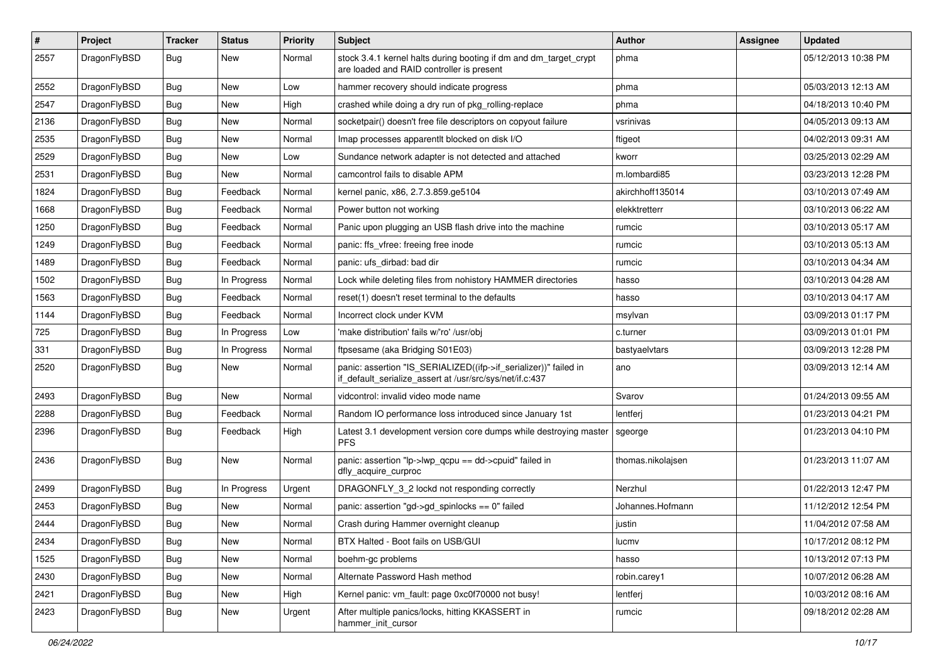| $\pmb{\#}$ | Project      | <b>Tracker</b> | <b>Status</b> | <b>Priority</b> | Subject                                                                                                                      | <b>Author</b>     | <b>Assignee</b> | <b>Updated</b>      |
|------------|--------------|----------------|---------------|-----------------|------------------------------------------------------------------------------------------------------------------------------|-------------------|-----------------|---------------------|
| 2557       | DragonFlyBSD | Bug            | New           | Normal          | stock 3.4.1 kernel halts during booting if dm and dm_target_crypt<br>are loaded and RAID controller is present               | phma              |                 | 05/12/2013 10:38 PM |
| 2552       | DragonFlyBSD | Bug            | New           | Low             | hammer recovery should indicate progress                                                                                     | phma              |                 | 05/03/2013 12:13 AM |
| 2547       | DragonFlyBSD | Bug            | <b>New</b>    | High            | crashed while doing a dry run of pkg rolling-replace                                                                         | phma              |                 | 04/18/2013 10:40 PM |
| 2136       | DragonFlyBSD | Bug            | <b>New</b>    | Normal          | socketpair() doesn't free file descriptors on copyout failure                                                                | vsrinivas         |                 | 04/05/2013 09:13 AM |
| 2535       | DragonFlyBSD | <b>Bug</b>     | New           | Normal          | Imap processes apparentlt blocked on disk I/O                                                                                | ftigeot           |                 | 04/02/2013 09:31 AM |
| 2529       | DragonFlyBSD | Bug            | New           | Low             | Sundance network adapter is not detected and attached                                                                        | kworr             |                 | 03/25/2013 02:29 AM |
| 2531       | DragonFlyBSD | Bug            | New           | Normal          | camcontrol fails to disable APM                                                                                              | m.lombardi85      |                 | 03/23/2013 12:28 PM |
| 1824       | DragonFlyBSD | Bug            | Feedback      | Normal          | kernel panic, x86, 2.7.3.859.ge5104                                                                                          | akirchhoff135014  |                 | 03/10/2013 07:49 AM |
| 1668       | DragonFlyBSD | Bug            | Feedback      | Normal          | Power button not working                                                                                                     | elekktretterr     |                 | 03/10/2013 06:22 AM |
| 1250       | DragonFlyBSD | Bug            | Feedback      | Normal          | Panic upon plugging an USB flash drive into the machine                                                                      | rumcic            |                 | 03/10/2013 05:17 AM |
| 1249       | DragonFlyBSD | Bug            | Feedback      | Normal          | panic: ffs vfree: freeing free inode                                                                                         | rumcic            |                 | 03/10/2013 05:13 AM |
| 1489       | DragonFlyBSD | Bug            | Feedback      | Normal          | panic: ufs dirbad: bad dir                                                                                                   | rumcic            |                 | 03/10/2013 04:34 AM |
| 1502       | DragonFlyBSD | Bug            | In Progress   | Normal          | Lock while deleting files from nohistory HAMMER directories                                                                  | hasso             |                 | 03/10/2013 04:28 AM |
| 1563       | DragonFlyBSD | Bug            | Feedback      | Normal          | reset(1) doesn't reset terminal to the defaults                                                                              | hasso             |                 | 03/10/2013 04:17 AM |
| 1144       | DragonFlyBSD | Bug            | Feedback      | Normal          | Incorrect clock under KVM                                                                                                    | msylvan           |                 | 03/09/2013 01:17 PM |
| 725        | DragonFlyBSD | Bug            | In Progress   | Low             | 'make distribution' fails w/'ro' /usr/obj                                                                                    | c.turner          |                 | 03/09/2013 01:01 PM |
| 331        | DragonFlyBSD | Bug            | In Progress   | Normal          | ftpsesame (aka Bridging S01E03)                                                                                              | bastyaelvtars     |                 | 03/09/2013 12:28 PM |
| 2520       | DragonFlyBSD | Bug            | New           | Normal          | panic: assertion "IS_SERIALIZED((ifp->if_serializer))" failed in<br>if_default_serialize_assert at /usr/src/sys/net/if.c:437 | ano               |                 | 03/09/2013 12:14 AM |
| 2493       | DragonFlyBSD | Bug            | New           | Normal          | vidcontrol: invalid video mode name                                                                                          | Svarov            |                 | 01/24/2013 09:55 AM |
| 2288       | DragonFlyBSD | Bug            | Feedback      | Normal          | Random IO performance loss introduced since January 1st                                                                      | lentferj          |                 | 01/23/2013 04:21 PM |
| 2396       | DragonFlyBSD | Bug            | Feedback      | High            | Latest 3.1 development version core dumps while destroying master<br><b>PFS</b>                                              | sgeorge           |                 | 01/23/2013 04:10 PM |
| 2436       | DragonFlyBSD | Bug            | New           | Normal          | panic: assertion "lp->lwp_qcpu == dd->cpuid" failed in<br>dfly_acquire_curproc                                               | thomas.nikolajsen |                 | 01/23/2013 11:07 AM |
| 2499       | DragonFlyBSD | Bug            | In Progress   | Urgent          | DRAGONFLY 3 2 lockd not responding correctly                                                                                 | Nerzhul           |                 | 01/22/2013 12:47 PM |
| 2453       | DragonFlyBSD | Bug            | <b>New</b>    | Normal          | panic: assertion "gd->gd spinlocks == $0$ " failed                                                                           | Johannes.Hofmann  |                 | 11/12/2012 12:54 PM |
| 2444       | DragonFlyBSD | Bug            | New           | Normal          | Crash during Hammer overnight cleanup                                                                                        | justin            |                 | 11/04/2012 07:58 AM |
| 2434       | DragonFlyBSD | Bug            | New           | Normal          | BTX Halted - Boot fails on USB/GUI                                                                                           | lucmv             |                 | 10/17/2012 08:12 PM |
| 1525       | DragonFlyBSD | Bug            | New           | Normal          | boehm-gc problems                                                                                                            | hasso             |                 | 10/13/2012 07:13 PM |
| 2430       | DragonFlyBSD | <b>Bug</b>     | New           | Normal          | Alternate Password Hash method                                                                                               | robin.carey1      |                 | 10/07/2012 06:28 AM |
| 2421       | DragonFlyBSD | <b>Bug</b>     | New           | High            | Kernel panic: vm_fault: page 0xc0f70000 not busy!                                                                            | lentferj          |                 | 10/03/2012 08:16 AM |
| 2423       | DragonFlyBSD | Bug            | New           | Urgent          | After multiple panics/locks, hitting KKASSERT in<br>hammer_init_cursor                                                       | rumcic            |                 | 09/18/2012 02:28 AM |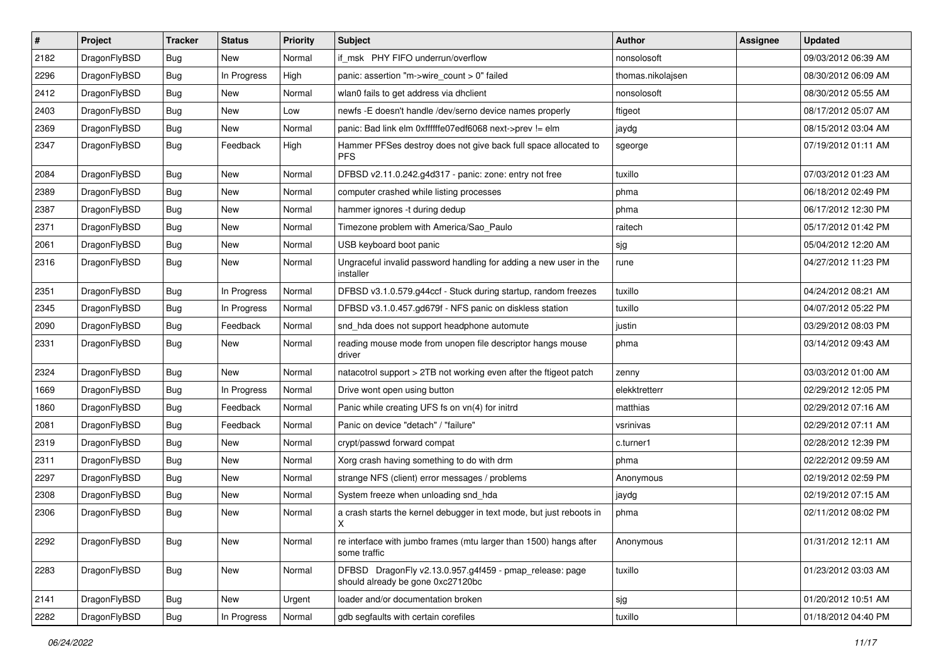| $\sharp$ | Project      | <b>Tracker</b> | <b>Status</b> | <b>Priority</b> | Subject                                                                                      | <b>Author</b>     | Assignee | <b>Updated</b>      |
|----------|--------------|----------------|---------------|-----------------|----------------------------------------------------------------------------------------------|-------------------|----------|---------------------|
| 2182     | DragonFlyBSD | Bug            | <b>New</b>    | Normal          | if_msk PHY FIFO underrun/overflow                                                            | nonsolosoft       |          | 09/03/2012 06:39 AM |
| 2296     | DragonFlyBSD | Bug            | In Progress   | High            | panic: assertion "m->wire count > 0" failed                                                  | thomas.nikolajsen |          | 08/30/2012 06:09 AM |
| 2412     | DragonFlyBSD | <b>Bug</b>     | <b>New</b>    | Normal          | wlan0 fails to get address via dhclient                                                      | nonsolosoft       |          | 08/30/2012 05:55 AM |
| 2403     | DragonFlyBSD | <b>Bug</b>     | <b>New</b>    | Low             | newfs -E doesn't handle /dev/serno device names properly                                     | ftigeot           |          | 08/17/2012 05:07 AM |
| 2369     | DragonFlyBSD | <b>Bug</b>     | <b>New</b>    | Normal          | panic: Bad link elm 0xffffffe07edf6068 next->prev != elm                                     | jaydg             |          | 08/15/2012 03:04 AM |
| 2347     | DragonFlyBSD | <b>Bug</b>     | Feedback      | High            | Hammer PFSes destroy does not give back full space allocated to<br><b>PFS</b>                | sgeorge           |          | 07/19/2012 01:11 AM |
| 2084     | DragonFlyBSD | Bug            | New           | Normal          | DFBSD v2.11.0.242.g4d317 - panic: zone: entry not free                                       | tuxillo           |          | 07/03/2012 01:23 AM |
| 2389     | DragonFlyBSD | <b>Bug</b>     | <b>New</b>    | Normal          | computer crashed while listing processes                                                     | phma              |          | 06/18/2012 02:49 PM |
| 2387     | DragonFlyBSD | Bug            | <b>New</b>    | Normal          | hammer ignores -t during dedup                                                               | phma              |          | 06/17/2012 12:30 PM |
| 2371     | DragonFlyBSD | <b>Bug</b>     | <b>New</b>    | Normal          | Timezone problem with America/Sao_Paulo                                                      | raitech           |          | 05/17/2012 01:42 PM |
| 2061     | DragonFlyBSD | Bug            | <b>New</b>    | Normal          | USB keyboard boot panic                                                                      | sjg               |          | 05/04/2012 12:20 AM |
| 2316     | DragonFlyBSD | Bug            | New           | Normal          | Ungraceful invalid password handling for adding a new user in the<br>installer               | rune              |          | 04/27/2012 11:23 PM |
| 2351     | DragonFlyBSD | Bug            | In Progress   | Normal          | DFBSD v3.1.0.579.g44ccf - Stuck during startup, random freezes                               | tuxillo           |          | 04/24/2012 08:21 AM |
| 2345     | DragonFlyBSD | <b>Bug</b>     | In Progress   | Normal          | DFBSD v3.1.0.457.gd679f - NFS panic on diskless station                                      | tuxillo           |          | 04/07/2012 05:22 PM |
| 2090     | DragonFlyBSD | <b>Bug</b>     | Feedback      | Normal          | snd_hda does not support headphone automute                                                  | justin            |          | 03/29/2012 08:03 PM |
| 2331     | DragonFlyBSD | Bug            | New           | Normal          | reading mouse mode from unopen file descriptor hangs mouse<br>driver                         | phma              |          | 03/14/2012 09:43 AM |
| 2324     | DragonFlyBSD | Bug            | New           | Normal          | natacotrol support > 2TB not working even after the ftigeot patch                            | zenny             |          | 03/03/2012 01:00 AM |
| 1669     | DragonFlyBSD | Bug            | In Progress   | Normal          | Drive wont open using button                                                                 | elekktretterr     |          | 02/29/2012 12:05 PM |
| 1860     | DragonFlyBSD | Bug            | Feedback      | Normal          | Panic while creating UFS fs on vn(4) for initrd                                              | matthias          |          | 02/29/2012 07:16 AM |
| 2081     | DragonFlyBSD | Bug            | Feedback      | Normal          | Panic on device "detach" / "failure"                                                         | vsrinivas         |          | 02/29/2012 07:11 AM |
| 2319     | DragonFlyBSD | <b>Bug</b>     | <b>New</b>    | Normal          | crypt/passwd forward compat                                                                  | c.turner1         |          | 02/28/2012 12:39 PM |
| 2311     | DragonFlyBSD | <b>Bug</b>     | New           | Normal          | Xorg crash having something to do with drm                                                   | phma              |          | 02/22/2012 09:59 AM |
| 2297     | DragonFlyBSD | Bug            | <b>New</b>    | Normal          | strange NFS (client) error messages / problems                                               | Anonymous         |          | 02/19/2012 02:59 PM |
| 2308     | DragonFlyBSD | <b>Bug</b>     | New           | Normal          | System freeze when unloading snd_hda                                                         | jaydg             |          | 02/19/2012 07:15 AM |
| 2306     | DragonFlyBSD | <b>Bug</b>     | New           | Normal          | a crash starts the kernel debugger in text mode, but just reboots in<br>X                    | phma              |          | 02/11/2012 08:02 PM |
| 2292     | DragonFlyBSD | Bug            | New           | Normal          | re interface with jumbo frames (mtu larger than 1500) hangs after<br>some traffic            | Anonymous         |          | 01/31/2012 12:11 AM |
| 2283     | DragonFlyBSD | <b>Bug</b>     | New           | Normal          | DFBSD DragonFly v2.13.0.957.g4f459 - pmap_release: page<br>should already be gone 0xc27120bc | tuxillo           |          | 01/23/2012 03:03 AM |
| 2141     | DragonFlyBSD | <b>Bug</b>     | New           | Urgent          | loader and/or documentation broken                                                           | sjg               |          | 01/20/2012 10:51 AM |
| 2282     | DragonFlyBSD | <b>Bug</b>     | In Progress   | Normal          | gdb segfaults with certain corefiles                                                         | tuxillo           |          | 01/18/2012 04:40 PM |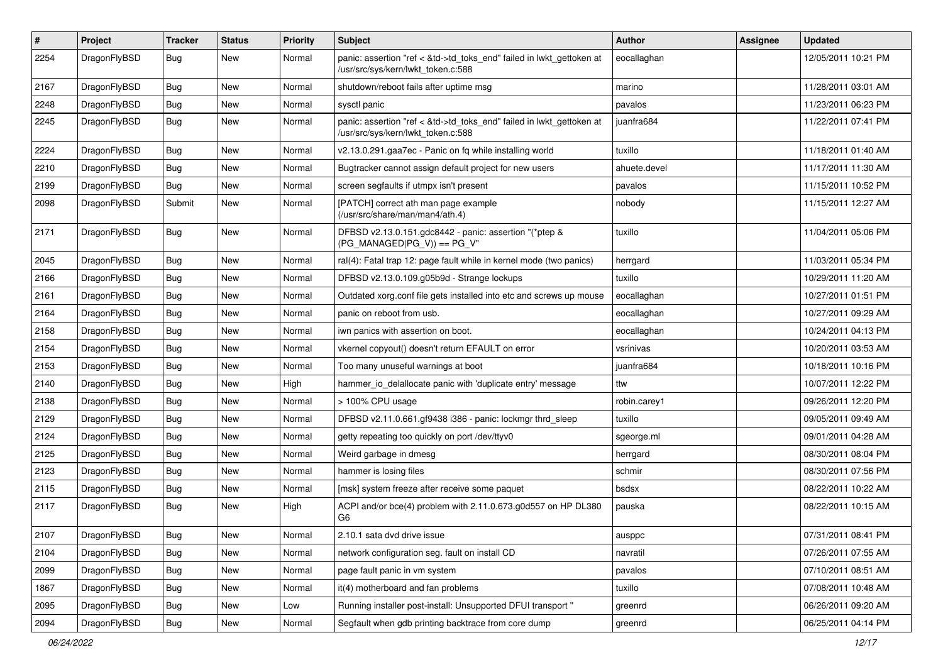| $\pmb{\#}$ | Project      | <b>Tracker</b> | <b>Status</b> | <b>Priority</b> | Subject                                                                                                    | <b>Author</b> | Assignee | <b>Updated</b>      |
|------------|--------------|----------------|---------------|-----------------|------------------------------------------------------------------------------------------------------------|---------------|----------|---------------------|
| 2254       | DragonFlyBSD | Bug            | New           | Normal          | panic: assertion "ref < &td->td_toks_end" failed in lwkt_gettoken at<br>/usr/src/sys/kern/lwkt_token.c:588 | eocallaghan   |          | 12/05/2011 10:21 PM |
| 2167       | DragonFlyBSD | Bug            | New           | Normal          | shutdown/reboot fails after uptime msg                                                                     | marino        |          | 11/28/2011 03:01 AM |
| 2248       | DragonFlyBSD | Bug            | <b>New</b>    | Normal          | sysctl panic                                                                                               | pavalos       |          | 11/23/2011 06:23 PM |
| 2245       | DragonFlyBSD | Bug            | New           | Normal          | panic: assertion "ref < &td->td_toks_end" failed in lwkt_gettoken at<br>/usr/src/sys/kern/lwkt_token.c:588 | juanfra684    |          | 11/22/2011 07:41 PM |
| 2224       | DragonFlyBSD | Bug            | <b>New</b>    | Normal          | v2.13.0.291.gaa7ec - Panic on fq while installing world                                                    | tuxillo       |          | 11/18/2011 01:40 AM |
| 2210       | DragonFlyBSD | Bug            | New           | Normal          | Bugtracker cannot assign default project for new users                                                     | ahuete.devel  |          | 11/17/2011 11:30 AM |
| 2199       | DragonFlyBSD | Bug            | <b>New</b>    | Normal          | screen segfaults if utmpx isn't present                                                                    | pavalos       |          | 11/15/2011 10:52 PM |
| 2098       | DragonFlyBSD | Submit         | New           | Normal          | [PATCH] correct ath man page example<br>(/usr/src/share/man/man4/ath.4)                                    | nobody        |          | 11/15/2011 12:27 AM |
| 2171       | DragonFlyBSD | Bug            | New           | Normal          | DFBSD v2.13.0.151.gdc8442 - panic: assertion "(*ptep &<br>$(PG_MANAGED PG_V)) == PG_V''$                   | tuxillo       |          | 11/04/2011 05:06 PM |
| 2045       | DragonFlyBSD | Bug            | New           | Normal          | ral(4): Fatal trap 12: page fault while in kernel mode (two panics)                                        | herrgard      |          | 11/03/2011 05:34 PM |
| 2166       | DragonFlyBSD | Bug            | New           | Normal          | DFBSD v2.13.0.109.g05b9d - Strange lockups                                                                 | tuxillo       |          | 10/29/2011 11:20 AM |
| 2161       | DragonFlyBSD | Bug            | New           | Normal          | Outdated xorg.conf file gets installed into etc and screws up mouse                                        | eocallaghan   |          | 10/27/2011 01:51 PM |
| 2164       | DragonFlyBSD | Bug            | <b>New</b>    | Normal          | panic on reboot from usb.                                                                                  | eocallaghan   |          | 10/27/2011 09:29 AM |
| 2158       | DragonFlyBSD | Bug            | New           | Normal          | iwn panics with assertion on boot.                                                                         | eocallaghan   |          | 10/24/2011 04:13 PM |
| 2154       | DragonFlyBSD | Bug            | New           | Normal          | vkernel copyout() doesn't return EFAULT on error                                                           | vsrinivas     |          | 10/20/2011 03:53 AM |
| 2153       | DragonFlyBSD | Bug            | New           | Normal          | Too many unuseful warnings at boot                                                                         | juanfra684    |          | 10/18/2011 10:16 PM |
| 2140       | DragonFlyBSD | Bug            | New           | High            | hammer io delallocate panic with 'duplicate entry' message                                                 | ttw           |          | 10/07/2011 12:22 PM |
| 2138       | DragonFlyBSD | Bug            | <b>New</b>    | Normal          | > 100% CPU usage                                                                                           | robin.carey1  |          | 09/26/2011 12:20 PM |
| 2129       | DragonFlyBSD | Bug            | New           | Normal          | DFBSD v2.11.0.661.gf9438 i386 - panic: lockmgr thrd_sleep                                                  | tuxillo       |          | 09/05/2011 09:49 AM |
| 2124       | DragonFlyBSD | Bug            | <b>New</b>    | Normal          | getty repeating too quickly on port /dev/ttyv0                                                             | sgeorge.ml    |          | 09/01/2011 04:28 AM |
| 2125       | DragonFlyBSD | Bug            | New           | Normal          | Weird garbage in dmesg                                                                                     | herrgard      |          | 08/30/2011 08:04 PM |
| 2123       | DragonFlyBSD | Bug            | <b>New</b>    | Normal          | hammer is losing files                                                                                     | schmir        |          | 08/30/2011 07:56 PM |
| 2115       | DragonFlyBSD | Bug            | New           | Normal          | [msk] system freeze after receive some paquet                                                              | bsdsx         |          | 08/22/2011 10:22 AM |
| 2117       | DragonFlyBSD | Bug            | New           | High            | ACPI and/or bce(4) problem with 2.11.0.673.g0d557 on HP DL380<br>G6                                        | pauska        |          | 08/22/2011 10:15 AM |
| 2107       | DragonFlyBSD | Bug            | New           | Normal          | 2.10.1 sata dvd drive issue                                                                                | ausppc        |          | 07/31/2011 08:41 PM |
| 2104       | DragonFlyBSD | Bug            | New           | Normal          | network configuration seg. fault on install CD                                                             | navratil      |          | 07/26/2011 07:55 AM |
| 2099       | DragonFlyBSD | <b>Bug</b>     | New           | Normal          | page fault panic in vm system                                                                              | pavalos       |          | 07/10/2011 08:51 AM |
| 1867       | DragonFlyBSD | Bug            | New           | Normal          | it(4) motherboard and fan problems                                                                         | tuxillo       |          | 07/08/2011 10:48 AM |
| 2095       | DragonFlyBSD | <b>Bug</b>     | New           | Low             | Running installer post-install: Unsupported DFUI transport "                                               | greenrd       |          | 06/26/2011 09:20 AM |
| 2094       | DragonFlyBSD | Bug            | New           | Normal          | Segfault when gdb printing backtrace from core dump                                                        | greenrd       |          | 06/25/2011 04:14 PM |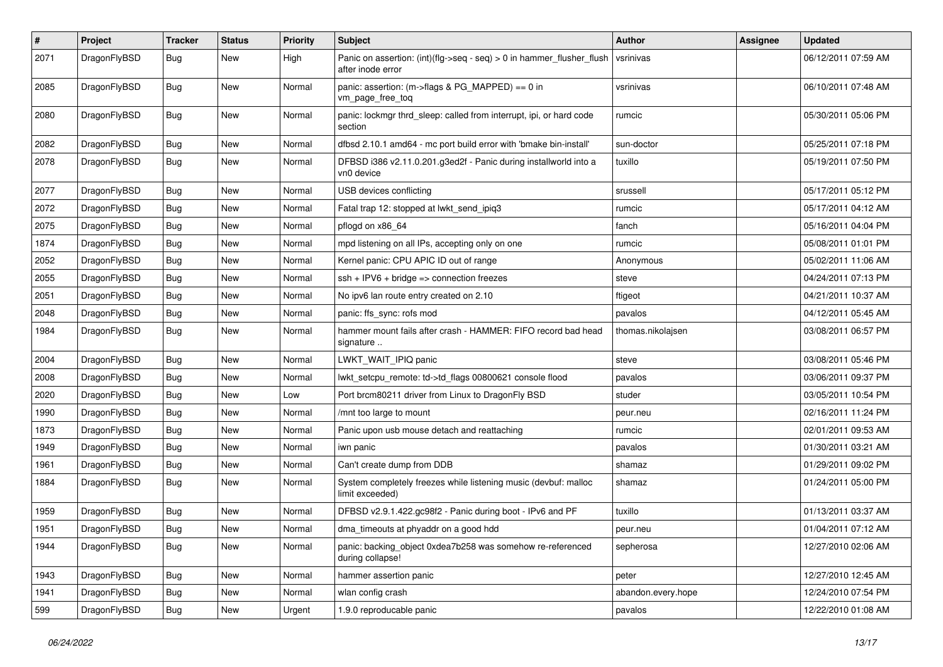| $\sharp$ | Project      | <b>Tracker</b> | <b>Status</b> | <b>Priority</b> | Subject                                                                                       | <b>Author</b>      | <b>Assignee</b> | <b>Updated</b>      |
|----------|--------------|----------------|---------------|-----------------|-----------------------------------------------------------------------------------------------|--------------------|-----------------|---------------------|
| 2071     | DragonFlyBSD | Bug            | New           | High            | Panic on assertion: $(int)(flag->seq - seq) > 0$ in hammer flusher flush<br>after inode error | vsrinivas          |                 | 06/12/2011 07:59 AM |
| 2085     | DragonFlyBSD | Bug            | <b>New</b>    | Normal          | panic: assertion: (m->flags & PG_MAPPED) == 0 in<br>vm page free tog                          | vsrinivas          |                 | 06/10/2011 07:48 AM |
| 2080     | DragonFlyBSD | Bug            | <b>New</b>    | Normal          | panic: lockmgr thrd sleep: called from interrupt, ipi, or hard code<br>section                | rumcic             |                 | 05/30/2011 05:06 PM |
| 2082     | DragonFlyBSD | Bug            | <b>New</b>    | Normal          | dfbsd 2.10.1 amd64 - mc port build error with 'bmake bin-install'                             | sun-doctor         |                 | 05/25/2011 07:18 PM |
| 2078     | DragonFlyBSD | Bug            | New           | Normal          | DFBSD i386 v2.11.0.201.g3ed2f - Panic during installworld into a<br>vn0 device                | tuxillo            |                 | 05/19/2011 07:50 PM |
| 2077     | DragonFlyBSD | Bug            | <b>New</b>    | Normal          | USB devices conflicting                                                                       | srussell           |                 | 05/17/2011 05:12 PM |
| 2072     | DragonFlyBSD | <b>Bug</b>     | New           | Normal          | Fatal trap 12: stopped at lwkt_send_ipiq3                                                     | rumcic             |                 | 05/17/2011 04:12 AM |
| 2075     | DragonFlyBSD | <b>Bug</b>     | New           | Normal          | pflogd on x86_64                                                                              | fanch              |                 | 05/16/2011 04:04 PM |
| 1874     | DragonFlyBSD | <b>Bug</b>     | New           | Normal          | mpd listening on all IPs, accepting only on one                                               | rumcic             |                 | 05/08/2011 01:01 PM |
| 2052     | DragonFlyBSD | <b>Bug</b>     | <b>New</b>    | Normal          | Kernel panic: CPU APIC ID out of range                                                        | Anonymous          |                 | 05/02/2011 11:06 AM |
| 2055     | DragonFlyBSD | Bug            | <b>New</b>    | Normal          | $ssh + IPV6 + bridge \Rightarrow$ connection freezes                                          | steve              |                 | 04/24/2011 07:13 PM |
| 2051     | DragonFlyBSD | <b>Bug</b>     | New           | Normal          | No ipv6 lan route entry created on 2.10                                                       | ftigeot            |                 | 04/21/2011 10:37 AM |
| 2048     | DragonFlyBSD | <b>Bug</b>     | New           | Normal          | panic: ffs_sync: rofs mod                                                                     | pavalos            |                 | 04/12/2011 05:45 AM |
| 1984     | DragonFlyBSD | Bug            | <b>New</b>    | Normal          | hammer mount fails after crash - HAMMER: FIFO record bad head<br>signature                    | thomas.nikolaisen  |                 | 03/08/2011 06:57 PM |
| 2004     | DragonFlyBSD | Bug            | <b>New</b>    | Normal          | LWKT_WAIT_IPIQ panic                                                                          | steve              |                 | 03/08/2011 05:46 PM |
| 2008     | DragonFlyBSD | <b>Bug</b>     | <b>New</b>    | Normal          | lwkt_setcpu_remote: td->td_flags 00800621 console flood                                       | pavalos            |                 | 03/06/2011 09:37 PM |
| 2020     | DragonFlyBSD | <b>Bug</b>     | <b>New</b>    | Low             | Port brcm80211 driver from Linux to DragonFly BSD                                             | studer             |                 | 03/05/2011 10:54 PM |
| 1990     | DragonFlyBSD | Bug            | <b>New</b>    | Normal          | /mnt too large to mount                                                                       | peur.neu           |                 | 02/16/2011 11:24 PM |
| 1873     | DragonFlyBSD | <b>Bug</b>     | New           | Normal          | Panic upon usb mouse detach and reattaching                                                   | rumcic             |                 | 02/01/2011 09:53 AM |
| 1949     | DragonFlyBSD | <b>Bug</b>     | <b>New</b>    | Normal          | iwn panic                                                                                     | pavalos            |                 | 01/30/2011 03:21 AM |
| 1961     | DragonFlyBSD | <b>Bug</b>     | <b>New</b>    | Normal          | Can't create dump from DDB                                                                    | shamaz             |                 | 01/29/2011 09:02 PM |
| 1884     | DragonFlyBSD | <b>Bug</b>     | <b>New</b>    | Normal          | System completely freezes while listening music (devbuf: malloc<br>limit exceeded)            | shamaz             |                 | 01/24/2011 05:00 PM |
| 1959     | DragonFlyBSD | <b>Bug</b>     | New           | Normal          | DFBSD v2.9.1.422.gc98f2 - Panic during boot - IPv6 and PF                                     | tuxillo            |                 | 01/13/2011 03:37 AM |
| 1951     | DragonFlyBSD | Bug            | <b>New</b>    | Normal          | dma timeouts at phyaddr on a good hdd                                                         | peur.neu           |                 | 01/04/2011 07:12 AM |
| 1944     | DragonFlyBSD | <b>Bug</b>     | New           | Normal          | panic: backing_object 0xdea7b258 was somehow re-referenced<br>during collapse!                | sepherosa          |                 | 12/27/2010 02:06 AM |
| 1943     | DragonFlyBSD | <b>Bug</b>     | <b>New</b>    | Normal          | hammer assertion panic                                                                        | peter              |                 | 12/27/2010 12:45 AM |
| 1941     | DragonFlyBSD | <b>Bug</b>     | <b>New</b>    | Normal          | wlan config crash                                                                             | abandon.every.hope |                 | 12/24/2010 07:54 PM |
| 599      | DragonFlyBSD | <b>Bug</b>     | New           | Urgent          | 1.9.0 reproducable panic                                                                      | pavalos            |                 | 12/22/2010 01:08 AM |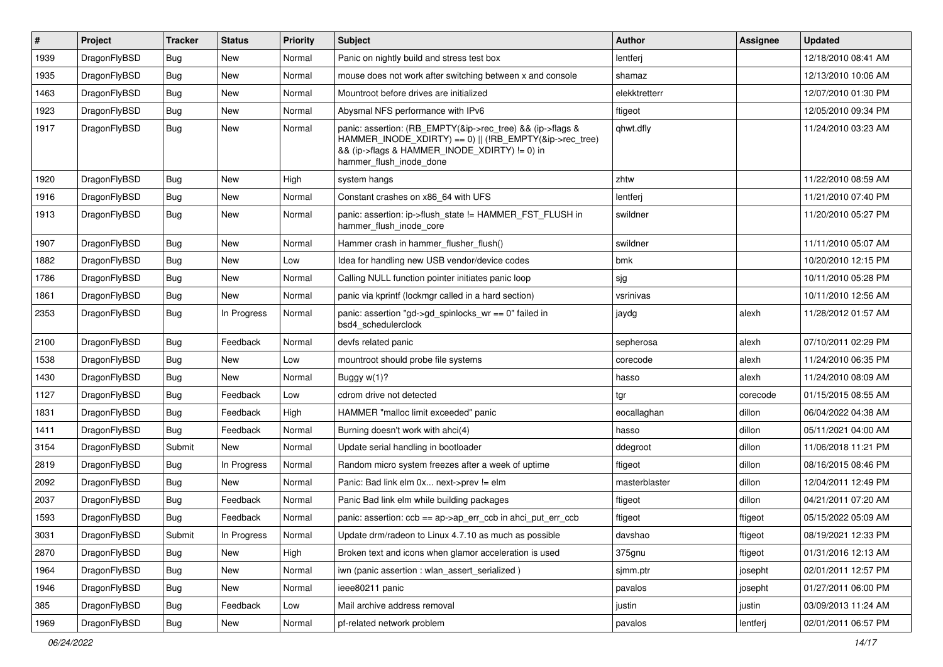| $\pmb{\#}$ | Project      | <b>Tracker</b> | <b>Status</b> | <b>Priority</b> | Subject                                                                                                                                                                                           | <b>Author</b> | Assignee | <b>Updated</b>      |
|------------|--------------|----------------|---------------|-----------------|---------------------------------------------------------------------------------------------------------------------------------------------------------------------------------------------------|---------------|----------|---------------------|
| 1939       | DragonFlyBSD | Bug            | <b>New</b>    | Normal          | Panic on nightly build and stress test box                                                                                                                                                        | lentferj      |          | 12/18/2010 08:41 AM |
| 1935       | DragonFlyBSD | Bug            | <b>New</b>    | Normal          | mouse does not work after switching between x and console                                                                                                                                         | shamaz        |          | 12/13/2010 10:06 AM |
| 1463       | DragonFlyBSD | <b>Bug</b>     | New           | Normal          | Mountroot before drives are initialized                                                                                                                                                           | elekktretterr |          | 12/07/2010 01:30 PM |
| 1923       | DragonFlyBSD | Bug            | New           | Normal          | Abysmal NFS performance with IPv6                                                                                                                                                                 | ftigeot       |          | 12/05/2010 09:34 PM |
| 1917       | DragonFlyBSD | Bug            | New           | Normal          | panic: assertion: (RB EMPTY(&ip->rec tree) && (ip->flags &<br>HAMMER_INODE_XDIRTY) == 0)    (!RB_EMPTY(&ip->rec_tree)<br>&& (ip->flags & HAMMER_INODE_XDIRTY) != 0) in<br>hammer_flush_inode_done | qhwt.dfly     |          | 11/24/2010 03:23 AM |
| 1920       | DragonFlyBSD | Bug            | <b>New</b>    | High            | system hangs                                                                                                                                                                                      | zhtw          |          | 11/22/2010 08:59 AM |
| 1916       | DragonFlyBSD | Bug            | New           | Normal          | Constant crashes on x86_64 with UFS                                                                                                                                                               | lentferj      |          | 11/21/2010 07:40 PM |
| 1913       | DragonFlyBSD | Bug            | New           | Normal          | panic: assertion: ip->flush_state != HAMMER_FST_FLUSH in<br>hammer_flush_inode_core                                                                                                               | swildner      |          | 11/20/2010 05:27 PM |
| 1907       | DragonFlyBSD | Bug            | <b>New</b>    | Normal          | Hammer crash in hammer_flusher_flush()                                                                                                                                                            | swildner      |          | 11/11/2010 05:07 AM |
| 1882       | DragonFlyBSD | <b>Bug</b>     | New           | Low             | Idea for handling new USB vendor/device codes                                                                                                                                                     | bmk           |          | 10/20/2010 12:15 PM |
| 1786       | DragonFlyBSD | Bug            | New           | Normal          | Calling NULL function pointer initiates panic loop                                                                                                                                                | sjg           |          | 10/11/2010 05:28 PM |
| 1861       | DragonFlyBSD | Bug            | New           | Normal          | panic via kprintf (lockmgr called in a hard section)                                                                                                                                              | vsrinivas     |          | 10/11/2010 12:56 AM |
| 2353       | DragonFlyBSD | Bug            | In Progress   | Normal          | panic: assertion "gd->gd_spinlocks_wr == 0" failed in<br>bsd4_schedulerclock                                                                                                                      | jaydg         | alexh    | 11/28/2012 01:57 AM |
| 2100       | DragonFlyBSD | Bug            | Feedback      | Normal          | devfs related panic                                                                                                                                                                               | sepherosa     | alexh    | 07/10/2011 02:29 PM |
| 1538       | DragonFlyBSD | Bug            | New           | Low             | mountroot should probe file systems                                                                                                                                                               | corecode      | alexh    | 11/24/2010 06:35 PM |
| 1430       | DragonFlyBSD | Bug            | <b>New</b>    | Normal          | Buggy w(1)?                                                                                                                                                                                       | hasso         | alexh    | 11/24/2010 08:09 AM |
| 1127       | DragonFlyBSD | <b>Bug</b>     | Feedback      | Low             | cdrom drive not detected                                                                                                                                                                          | tgr           | corecode | 01/15/2015 08:55 AM |
| 1831       | DragonFlyBSD | Bug            | Feedback      | High            | HAMMER "malloc limit exceeded" panic                                                                                                                                                              | eocallaghan   | dillon   | 06/04/2022 04:38 AM |
| 1411       | DragonFlyBSD | Bug            | Feedback      | Normal          | Burning doesn't work with ahci(4)                                                                                                                                                                 | hasso         | dillon   | 05/11/2021 04:00 AM |
| 3154       | DragonFlyBSD | Submit         | New           | Normal          | Update serial handling in bootloader                                                                                                                                                              | ddegroot      | dillon   | 11/06/2018 11:21 PM |
| 2819       | DragonFlyBSD | Bug            | In Progress   | Normal          | Random micro system freezes after a week of uptime                                                                                                                                                | ftigeot       | dillon   | 08/16/2015 08:46 PM |
| 2092       | DragonFlyBSD | <b>Bug</b>     | New           | Normal          | Panic: Bad link elm 0x next->prev != elm                                                                                                                                                          | masterblaster | dillon   | 12/04/2011 12:49 PM |
| 2037       | DragonFlyBSD | Bug            | Feedback      | Normal          | Panic Bad link elm while building packages                                                                                                                                                        | ftigeot       | dillon   | 04/21/2011 07:20 AM |
| 1593       | DragonFlyBSD | <b>Bug</b>     | Feedback      | Normal          | panic: assertion: ccb == ap->ap_err_ccb in ahci_put_err_ccb                                                                                                                                       | ftigeot       | ftigeot  | 05/15/2022 05:09 AM |
| 3031       | DragonFlyBSD | Submit         | In Progress   | Normal          | Update drm/radeon to Linux 4.7.10 as much as possible                                                                                                                                             | davshao       | ftigeot  | 08/19/2021 12:33 PM |
| 2870       | DragonFlyBSD | Bug            | New           | High            | Broken text and icons when glamor acceleration is used                                                                                                                                            | 375gnu        | ftigeot  | 01/31/2016 12:13 AM |
| 1964       | DragonFlyBSD | Bug            | New           | Normal          | iwn (panic assertion : wlan assert serialized)                                                                                                                                                    | sjmm.ptr      | josepht  | 02/01/2011 12:57 PM |
| 1946       | DragonFlyBSD | <b>Bug</b>     | New           | Normal          | ieee80211 panic                                                                                                                                                                                   | pavalos       | josepht  | 01/27/2011 06:00 PM |
| 385        | DragonFlyBSD | <b>Bug</b>     | Feedback      | Low             | Mail archive address removal                                                                                                                                                                      | justin        | justin   | 03/09/2013 11:24 AM |
| 1969       | DragonFlyBSD | Bug            | New           | Normal          | pf-related network problem                                                                                                                                                                        | pavalos       | lentferj | 02/01/2011 06:57 PM |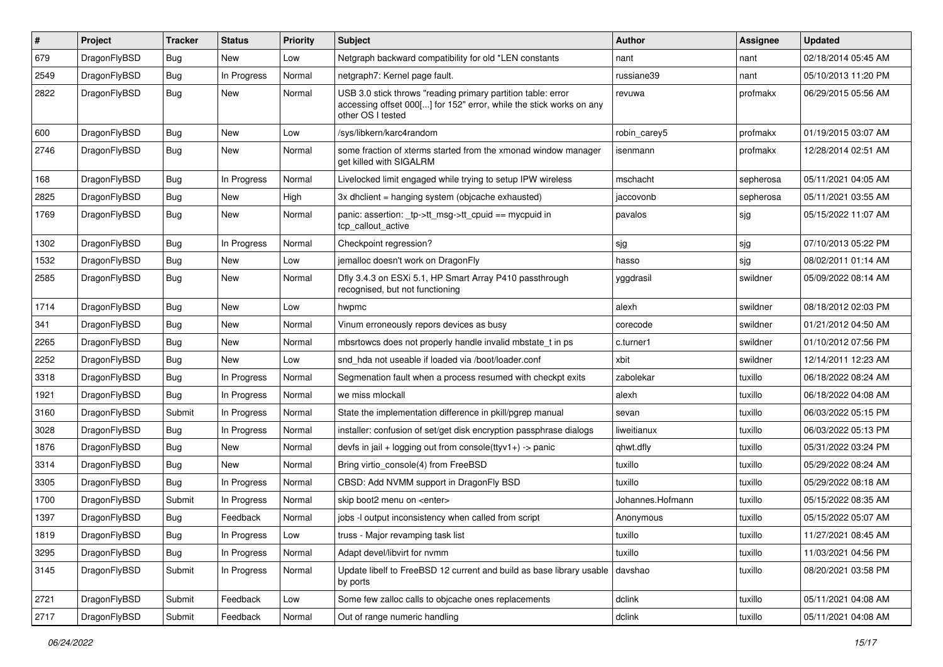| #    | Project      | <b>Tracker</b> | <b>Status</b> | <b>Priority</b> | Subject                                                                                                                                                  | <b>Author</b>    | Assignee  | <b>Updated</b>      |
|------|--------------|----------------|---------------|-----------------|----------------------------------------------------------------------------------------------------------------------------------------------------------|------------------|-----------|---------------------|
| 679  | DragonFlyBSD | <b>Bug</b>     | New           | Low             | Netgraph backward compatibility for old *LEN constants                                                                                                   | nant             | nant      | 02/18/2014 05:45 AM |
| 2549 | DragonFlyBSD | Bug            | In Progress   | Normal          | netgraph7: Kernel page fault.                                                                                                                            | russiane39       | nant      | 05/10/2013 11:20 PM |
| 2822 | DragonFlyBSD | Bug            | New           | Normal          | USB 3.0 stick throws "reading primary partition table: error<br>accessing offset 000[] for 152" error, while the stick works on any<br>other OS I tested | revuwa           | profmakx  | 06/29/2015 05:56 AM |
| 600  | DragonFlyBSD | Bug            | <b>New</b>    | Low             | /sys/libkern/karc4random                                                                                                                                 | robin carey5     | profmakx  | 01/19/2015 03:07 AM |
| 2746 | DragonFlyBSD | <b>Bug</b>     | New           | Normal          | some fraction of xterms started from the xmonad window manager<br>get killed with SIGALRM                                                                | isenmann         | profmakx  | 12/28/2014 02:51 AM |
| 168  | DragonFlyBSD | <b>Bug</b>     | In Progress   | Normal          | Livelocked limit engaged while trying to setup IPW wireless                                                                                              | mschacht         | sepherosa | 05/11/2021 04:05 AM |
| 2825 | DragonFlyBSD | Bug            | <b>New</b>    | High            | 3x dhclient = hanging system (objcache exhausted)                                                                                                        | jaccovonb        | sepherosa | 05/11/2021 03:55 AM |
| 1769 | DragonFlyBSD | <b>Bug</b>     | New           | Normal          | panic: assertion: _tp->tt_msg->tt_cpuid == mycpuid in<br>tcp callout active                                                                              | pavalos          | sjg       | 05/15/2022 11:07 AM |
| 1302 | DragonFlyBSD | Bug            | In Progress   | Normal          | Checkpoint regression?                                                                                                                                   | sjg              | sjg       | 07/10/2013 05:22 PM |
| 1532 | DragonFlyBSD | <b>Bug</b>     | New           | Low             | jemalloc doesn't work on DragonFly                                                                                                                       | hasso            | sjg       | 08/02/2011 01:14 AM |
| 2585 | DragonFlyBSD | Bug            | New           | Normal          | Dfly 3.4.3 on ESXi 5.1, HP Smart Array P410 passthrough<br>recognised, but not functioning                                                               | yggdrasil        | swildner  | 05/09/2022 08:14 AM |
| 1714 | DragonFlyBSD | Bug            | <b>New</b>    | Low             | hwpmc                                                                                                                                                    | alexh            | swildner  | 08/18/2012 02:03 PM |
| 341  | DragonFlyBSD | <b>Bug</b>     | New           | Normal          | Vinum erroneously repors devices as busy                                                                                                                 | corecode         | swildner  | 01/21/2012 04:50 AM |
| 2265 | DragonFlyBSD | <b>Bug</b>     | <b>New</b>    | Normal          | mbsrtowcs does not properly handle invalid mbstate t in ps                                                                                               | c.turner1        | swildner  | 01/10/2012 07:56 PM |
| 2252 | DragonFlyBSD | <b>Bug</b>     | <b>New</b>    | Low             | snd hda not useable if loaded via /boot/loader.conf                                                                                                      | xbit             | swildner  | 12/14/2011 12:23 AM |
| 3318 | DragonFlyBSD | <b>Bug</b>     | In Progress   | Normal          | Segmenation fault when a process resumed with checkpt exits                                                                                              | zabolekar        | tuxillo   | 06/18/2022 08:24 AM |
| 1921 | DragonFlyBSD | <b>Bug</b>     | In Progress   | Normal          | we miss mlockall                                                                                                                                         | alexh            | tuxillo   | 06/18/2022 04:08 AM |
| 3160 | DragonFlyBSD | Submit         | In Progress   | Normal          | State the implementation difference in pkill/pgrep manual                                                                                                | sevan            | tuxillo   | 06/03/2022 05:15 PM |
| 3028 | DragonFlyBSD | Bug            | In Progress   | Normal          | installer: confusion of set/get disk encryption passphrase dialogs                                                                                       | liweitianux      | tuxillo   | 06/03/2022 05:13 PM |
| 1876 | DragonFlyBSD | <b>Bug</b>     | New           | Normal          | devfs in jail + logging out from console(ttyv1+) -> panic                                                                                                | qhwt.dfly        | tuxillo   | 05/31/2022 03:24 PM |
| 3314 | DragonFlyBSD | Bug            | <b>New</b>    | Normal          | Bring virtio console(4) from FreeBSD                                                                                                                     | tuxillo          | tuxillo   | 05/29/2022 08:24 AM |
| 3305 | DragonFlyBSD | Bug            | In Progress   | Normal          | CBSD: Add NVMM support in DragonFly BSD                                                                                                                  | tuxillo          | tuxillo   | 05/29/2022 08:18 AM |
| 1700 | DragonFlyBSD | Submit         | In Progress   | Normal          | skip boot2 menu on <enter></enter>                                                                                                                       | Johannes.Hofmann | tuxillo   | 05/15/2022 08:35 AM |
| 1397 | DragonFlyBSD | <b>Bug</b>     | Feedback      | Normal          | jobs -I output inconsistency when called from script                                                                                                     | Anonymous        | tuxillo   | 05/15/2022 05:07 AM |
| 1819 | DragonFlyBSD | <b>Bug</b>     | In Progress   | LOW             | truss - Major revamping task list                                                                                                                        | tuxillo          | tuxillo   | 11/27/2021 08:45 AM |
| 3295 | DragonFlyBSD | <b>Bug</b>     | In Progress   | Normal          | Adapt devel/libvirt for nvmm                                                                                                                             | tuxillo          | tuxillo   | 11/03/2021 04:56 PM |
| 3145 | DragonFlyBSD | Submit         | In Progress   | Normal          | Update libelf to FreeBSD 12 current and build as base library usable<br>by ports                                                                         | davshao          | tuxillo   | 08/20/2021 03:58 PM |
| 2721 | DragonFlyBSD | Submit         | Feedback      | Low             | Some few zalloc calls to objcache ones replacements                                                                                                      | dclink           | tuxillo   | 05/11/2021 04:08 AM |
| 2717 | DragonFlyBSD | Submit         | Feedback      | Normal          | Out of range numeric handling                                                                                                                            | dclink           | tuxillo   | 05/11/2021 04:08 AM |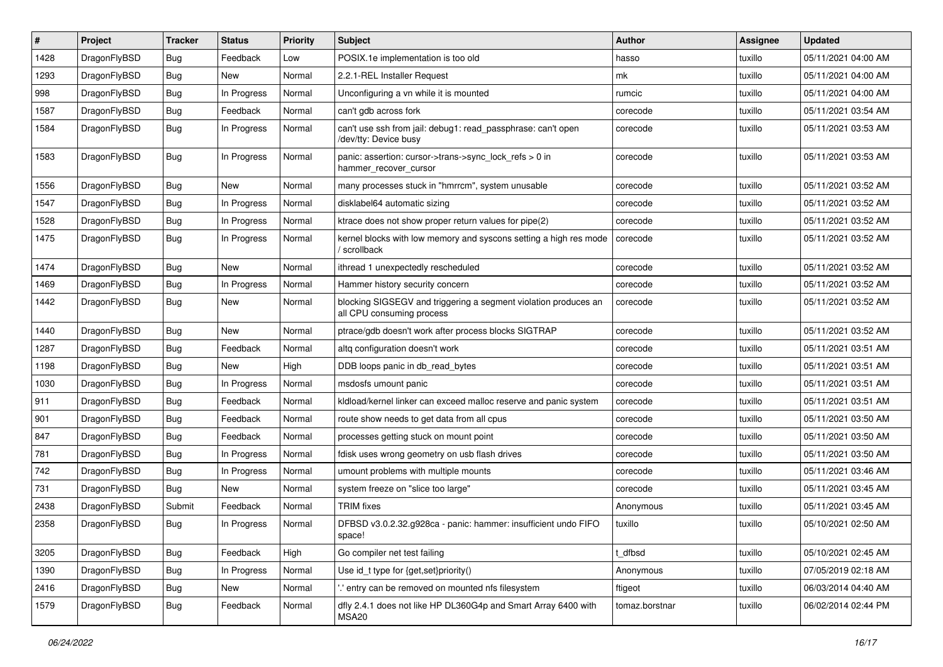| #    | Project      | Tracker    | <b>Status</b> | <b>Priority</b> | Subject                                                                                      | <b>Author</b>  | <b>Assignee</b> | <b>Updated</b>      |
|------|--------------|------------|---------------|-----------------|----------------------------------------------------------------------------------------------|----------------|-----------------|---------------------|
| 1428 | DragonFlyBSD | <b>Bug</b> | Feedback      | Low             | POSIX.1e implementation is too old                                                           | hasso          | tuxillo         | 05/11/2021 04:00 AM |
| 1293 | DragonFlyBSD | <b>Bug</b> | New           | Normal          | 2.2.1-REL Installer Request                                                                  | mk             | tuxillo         | 05/11/2021 04:00 AM |
| 998  | DragonFlyBSD | Bug        | In Progress   | Normal          | Unconfiguring a vn while it is mounted                                                       | rumcic         | tuxillo         | 05/11/2021 04:00 AM |
| 1587 | DragonFlyBSD | Bug        | Feedback      | Normal          | can't gdb across fork                                                                        | corecode       | tuxillo         | 05/11/2021 03:54 AM |
| 1584 | DragonFlyBSD | Bug        | In Progress   | Normal          | can't use ssh from jail: debug1: read passphrase: can't open<br>/dev/tty: Device busy        | corecode       | tuxillo         | 05/11/2021 03:53 AM |
| 1583 | DragonFlyBSD | Bug        | In Progress   | Normal          | panic: assertion: cursor->trans->sync_lock_refs > 0 in<br>hammer_recover_cursor              | corecode       | tuxillo         | 05/11/2021 03:53 AM |
| 1556 | DragonFlyBSD | Bug        | New           | Normal          | many processes stuck in "hmrrcm", system unusable                                            | corecode       | tuxillo         | 05/11/2021 03:52 AM |
| 1547 | DragonFlyBSD | <b>Bug</b> | In Progress   | Normal          | disklabel64 automatic sizing                                                                 | corecode       | tuxillo         | 05/11/2021 03:52 AM |
| 1528 | DragonFlyBSD | <b>Bug</b> | In Progress   | Normal          | ktrace does not show proper return values for pipe(2)                                        | corecode       | tuxillo         | 05/11/2021 03:52 AM |
| 1475 | DragonFlyBSD | <b>Bug</b> | In Progress   | Normal          | kernel blocks with low memory and syscons setting a high res mode<br>/ scrollback            | corecode       | tuxillo         | 05/11/2021 03:52 AM |
| 1474 | DragonFlyBSD | <b>Bug</b> | New           | Normal          | ithread 1 unexpectedly rescheduled                                                           | corecode       | tuxillo         | 05/11/2021 03:52 AM |
| 1469 | DragonFlyBSD | <b>Bug</b> | In Progress   | Normal          | Hammer history security concern                                                              | corecode       | tuxillo         | 05/11/2021 03:52 AM |
| 1442 | DragonFlyBSD | <b>Bug</b> | New           | Normal          | blocking SIGSEGV and triggering a segment violation produces an<br>all CPU consuming process | corecode       | tuxillo         | 05/11/2021 03:52 AM |
| 1440 | DragonFlyBSD | Bug        | New           | Normal          | ptrace/gdb doesn't work after process blocks SIGTRAP                                         | corecode       | tuxillo         | 05/11/2021 03:52 AM |
| 1287 | DragonFlyBSD | Bug        | Feedback      | Normal          | altq configuration doesn't work                                                              | corecode       | tuxillo         | 05/11/2021 03:51 AM |
| 1198 | DragonFlyBSD | Bug        | New           | High            | DDB loops panic in db read bytes                                                             | corecode       | tuxillo         | 05/11/2021 03:51 AM |
| 1030 | DragonFlyBSD | <b>Bug</b> | In Progress   | Normal          | msdosfs umount panic                                                                         | corecode       | tuxillo         | 05/11/2021 03:51 AM |
| 911  | DragonFlyBSD | Bug        | Feedback      | Normal          | kidload/kernel linker can exceed malloc reserve and panic system                             | corecode       | tuxillo         | 05/11/2021 03:51 AM |
| 901  | DragonFlyBSD | <b>Bug</b> | Feedback      | Normal          | route show needs to get data from all cpus                                                   | corecode       | tuxillo         | 05/11/2021 03:50 AM |
| 847  | DragonFlyBSD | <b>Bug</b> | Feedback      | Normal          | processes getting stuck on mount point                                                       | corecode       | tuxillo         | 05/11/2021 03:50 AM |
| 781  | DragonFlyBSD | <b>Bug</b> | In Progress   | Normal          | fdisk uses wrong geometry on usb flash drives                                                | corecode       | tuxillo         | 05/11/2021 03:50 AM |
| 742  | DragonFlyBSD | <b>Bug</b> | In Progress   | Normal          | umount problems with multiple mounts                                                         | corecode       | tuxillo         | 05/11/2021 03:46 AM |
| 731  | DragonFlyBSD | <b>Bug</b> | New           | Normal          | system freeze on "slice too large"                                                           | corecode       | tuxillo         | 05/11/2021 03:45 AM |
| 2438 | DragonFlyBSD | Submit     | Feedback      | Normal          | TRIM fixes                                                                                   | Anonymous      | tuxillo         | 05/11/2021 03:45 AM |
| 2358 | DragonFlyBSD | Bug        | In Progress   | Normal          | DFBSD v3.0.2.32.g928ca - panic: hammer: insufficient undo FIFO<br>space!                     | tuxillo        | tuxillo         | 05/10/2021 02:50 AM |
| 3205 | DragonFlyBSD | Bug        | Feedback      | High            | Go compiler net test failing                                                                 | t_dfbsd        | tuxillo         | 05/10/2021 02:45 AM |
| 1390 | DragonFlyBSD | <b>Bug</b> | In Progress   | Normal          | Use id_t type for {get,set}priority()                                                        | Anonymous      | tuxillo         | 07/05/2019 02:18 AM |
| 2416 | DragonFlyBSD | <b>Bug</b> | New           | Normal          | ".' entry can be removed on mounted nfs filesystem                                           | ftigeot        | tuxillo         | 06/03/2014 04:40 AM |
| 1579 | DragonFlyBSD | <b>Bug</b> | Feedback      | Normal          | dfly 2.4.1 does not like HP DL360G4p and Smart Array 6400 with<br>MSA20                      | tomaz.borstnar | tuxillo         | 06/02/2014 02:44 PM |